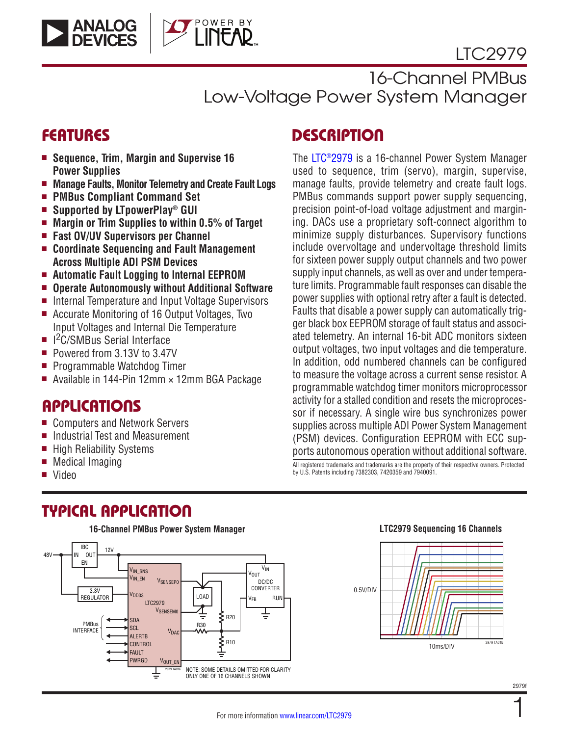# LTC2979



16-Channel PMBus Low-Voltage Power System Manager

- Sequence, Trim, Margin and Supervise 16 **Power Supplies**
- Manage Faults, Monitor Telemetry and Create Fault Logs
- <sup>n</sup> **PMBus Compliant Command Set**
- Supported by LTpowerPlay<sup>®</sup> GUI
- Margin or Trim Supplies to within 0.5% of Target
- <sup>n</sup> **Fast OV/UV Supervisors per Channel**
- Coordinate Sequencing and Fault Management **Across Multiple ADI PSM Devices**
- Automatic Fault Logging to Internal EEPROM
- <sup>n</sup> **Operate Autonomously without Additional Software**
- Internal Temperature and Input Voltage Supervisors
- Accurate Monitoring of 16 Output Voltages, Two Input Voltages and Internal Die Temperature
- I<sup>2</sup>C/SMBus Serial Interface
- Powered from 3.13V to 3.47V
- Programmable Watchdog Timer
- Available in 144-Pin 12mm  $\times$  12mm BGA Package

### **APPLICATIONS**

- Computers and Network Servers
- Industrial Test and Measurement
- High Reliability Systems
- $\blacksquare$  Medical Imaging
- Video

# TYPICAL APPLICATION



# FEATURES DESCRIPTION

The [LTC®2979](http://www.linear.com/LTC2979) is a 16-channel Power System Manager used to sequence, trim (servo), margin, supervise, manage faults, provide telemetry and create fault logs. PMBus commands support power supply sequencing, precision point-of-load voltage adjustment and margining. DACs use a proprietary soft-connect algorithm to minimize supply disturbances. Supervisory functions include overvoltage and undervoltage threshold limits for sixteen power supply output channels and two power supply input channels, as well as over and under temperature limits. Programmable fault responses can disable the power supplies with optional retry after a fault is detected. Faults that disable a power supply can automatically trigger black box EEPROM storage of fault status and associated telemetry. An internal 16-bit ADC monitors sixteen output voltages, two input voltages and die temperature. In addition, odd numbered channels can be configured to measure the voltage across a current sense resistor. A programmable watchdog timer monitors microprocessor activity for a stalled condition and resets the microprocessor if necessary. A single wire bus synchronizes power supplies across multiple ADI Power System Management (PSM) devices. Configuration EEPROM with ECC supports autonomous operation without additional software.

All registered trademarks and trademarks are the property of their respective owners. Protected by U.S. Patents including 7382303, 7420359 and 7940091.

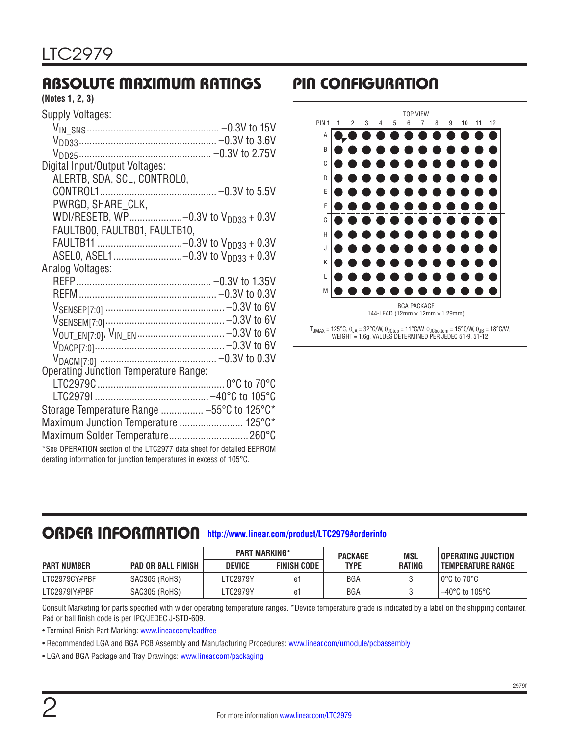# ABSOLUTE MAXIMUM RATINGS PIN CONFIGURATION

#### **(Notes 1, 2, 3)**

| Supply Voltages:                                                                                                                           |
|--------------------------------------------------------------------------------------------------------------------------------------------|
|                                                                                                                                            |
|                                                                                                                                            |
|                                                                                                                                            |
| Digital Input/Output Voltages:                                                                                                             |
| ALERTB, SDA, SCL, CONTROLO,                                                                                                                |
|                                                                                                                                            |
|                                                                                                                                            |
| PWRGD, SHARE_CLK,                                                                                                                          |
| WDI/RESETB, WP-0.3V to V <sub>DD33</sub> + 0.3V                                                                                            |
| FAULTB00, FAULTB01, FAULTB10,                                                                                                              |
|                                                                                                                                            |
| ASEL0, ASEL1-0.3V to V <sub>DD33</sub> + 0.3V                                                                                              |
| Analog Voltages:                                                                                                                           |
|                                                                                                                                            |
|                                                                                                                                            |
|                                                                                                                                            |
|                                                                                                                                            |
|                                                                                                                                            |
|                                                                                                                                            |
|                                                                                                                                            |
| Operating Junction Temperature Range:                                                                                                      |
|                                                                                                                                            |
|                                                                                                                                            |
| Storage Temperature Range  -55°C to 125°C*                                                                                                 |
| Maximum Junction Temperature  125°C*                                                                                                       |
| Maximum Solder Temperature 260°C                                                                                                           |
|                                                                                                                                            |
| *See OPERATION section of the LTC2977 data sheet for detailed EEPROM<br>derating information for junction temperatures in excess of 105°C. |
|                                                                                                                                            |
|                                                                                                                                            |



# ORDER INFORMATION **<http://www.linear.com/product/LTC2979#orderinfo>**

|                    |                      | <b>PART MARKING*</b> |                    | <b>PACKAGE</b> | MSL    | <b>OPERATING JUNCTION</b>        |
|--------------------|----------------------|----------------------|--------------------|----------------|--------|----------------------------------|
| <b>PART NUMBER</b> | ' PAD OR BALL FINISH | <b>DEVICE</b>        | <b>FINISH CODE</b> | <b>TYPE</b>    | RATING | <b>TEMPERATURE RANGE</b>         |
| LTC2979CY#PBF      | SAC305 (RoHS)        | LTC2979Y             | e1                 | <b>BGA</b>     |        | $0^{\circ}$ C to 70 $^{\circ}$ C |
| LTC2979IY#PBF      | SAC305 (RoHS)        | LTC2979Y             | e1                 | BGA            |        | $-40^{\circ}$ C to 105°C         |

Consult Marketing for parts specified with wider operating temperature ranges. \*Device temperature grade is indicated by a label on the shipping container. Pad or ball finish code is per IPC/JEDEC J-STD-609.

• Terminal Finish Part Marking:<www.linear.com/leadfree>

• Recommended LGA and BGA PCB Assembly and Manufacturing Procedures: [www.linear.com/umodule/pcbassembly](http://www.linear.com/umodule/pcbassembly)

• LGA and BGA Package and Tray Drawings: [www.linear.com/packaging](http://www.linear.com/packaging)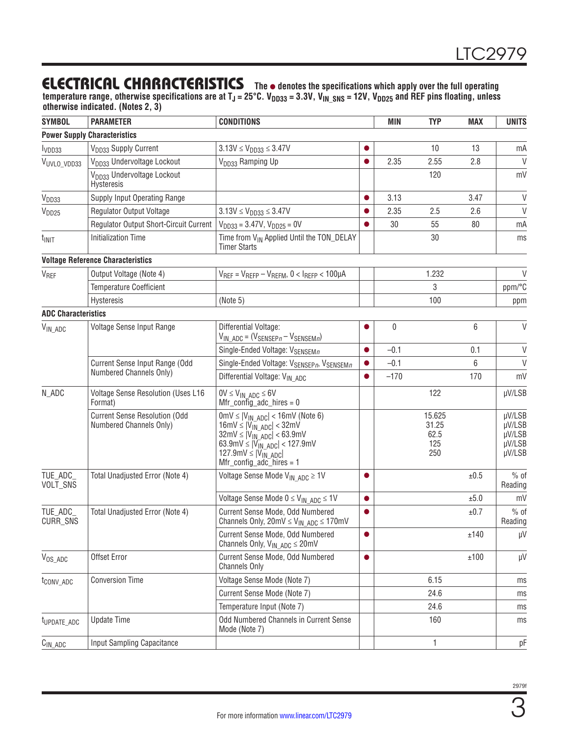temperature range, otherwise specifications are at T<sub>J</sub> = 25°C. V<sub>DD33</sub> = 3.3V, V<sub>IN\_SNS</sub> = 12V, V<sub>DD25</sub> and REF pins floating, unless **otherwise indicated. (Notes 2, 3)**

| <b>SYMBOL</b>              | <b>PARAMETER</b>                                                | <b>CONDITIONS</b>                                                                                                                                                                                                                                                 |           | <b>MIN</b> | <b>TYP</b>                            | <b>MAX</b> | <b>UNITS</b>                                   |
|----------------------------|-----------------------------------------------------------------|-------------------------------------------------------------------------------------------------------------------------------------------------------------------------------------------------------------------------------------------------------------------|-----------|------------|---------------------------------------|------------|------------------------------------------------|
|                            | <b>Power Supply Characteristics</b>                             |                                                                                                                                                                                                                                                                   |           |            |                                       |            |                                                |
| I <sub>VDD33</sub>         | V <sub>DD33</sub> Supply Current                                | $3.13V \le V_{DD33} \le 3.47V$                                                                                                                                                                                                                                    |           |            | 10                                    | 13         | mA                                             |
| VUVLO_VDD33                | V <sub>DD33</sub> Undervoltage Lockout                          | V <sub>DD33</sub> Ramping Up                                                                                                                                                                                                                                      | $\bullet$ | 2.35       | 2.55                                  | 2.8        | V                                              |
|                            | V <sub>DD33</sub> Undervoltage Lockout<br>Hysteresis            |                                                                                                                                                                                                                                                                   |           |            | 120                                   |            | mV                                             |
| V <sub>DD33</sub>          | Supply Input Operating Range                                    |                                                                                                                                                                                                                                                                   | $\bullet$ | 3.13       |                                       | 3.47       | $\mathsf{V}$                                   |
| V <sub>DD25</sub>          | <b>Regulator Output Voltage</b>                                 | $3.13V \le V_{DD33} \le 3.47V$                                                                                                                                                                                                                                    |           | 2.35       | 2.5                                   | 2.6        | $\mathsf{V}$                                   |
|                            | Regulator Output Short-Circuit Current                          | $V_{DD33} = 3.47V$ , $V_{DD25} = 0V$                                                                                                                                                                                                                              |           | 30         | 55                                    | 80         | mA                                             |
| $t_{\text{INIT}}$          | <b>Initialization Time</b>                                      | Time from V <sub>IN</sub> Applied Until the TON_DELAY<br><b>Timer Starts</b>                                                                                                                                                                                      |           |            | 30                                    |            | ms                                             |
|                            | <b>Voltage Reference Characteristics</b>                        |                                                                                                                                                                                                                                                                   |           |            |                                       |            |                                                |
| <b>V<sub>REF</sub></b>     | Output Voltage (Note 4)                                         | $V_{REF} = V_{REF} - V_{REFM}$ , 0 < IREFP < 100µA                                                                                                                                                                                                                |           |            | 1.232                                 |            | V                                              |
|                            | <b>Temperature Coefficient</b>                                  |                                                                                                                                                                                                                                                                   |           |            | 3                                     |            | ppm/°C                                         |
|                            | Hysteresis                                                      | (Note 5)                                                                                                                                                                                                                                                          |           |            | 100                                   |            | ppm                                            |
| <b>ADC Characteristics</b> |                                                                 |                                                                                                                                                                                                                                                                   |           |            |                                       |            |                                                |
| V <sub>IN_ADC</sub>        | Voltage Sense Input Range                                       | Differential Voltage:<br>$V_{IN\_{ADC}} = (V_{SENSEPn} - V_{SENSEMn})$                                                                                                                                                                                            |           | $\pmb{0}$  |                                       | 6          | V                                              |
|                            |                                                                 | Single-Ended Voltage: V <sub>SENSEMn</sub>                                                                                                                                                                                                                        | $\bullet$ | $-0.1$     |                                       | 0.1        | $\vee$                                         |
|                            | Current Sense Input Range (Odd                                  | Single-Ended Voltage: VSENSEPn, VSENSEMn                                                                                                                                                                                                                          | $\bullet$ | $-0.1$     |                                       | 6          | $\vee$                                         |
|                            | Numbered Channels Only)                                         | Differential Voltage: V <sub>IN ADC</sub>                                                                                                                                                                                                                         | $\bullet$ | $-170$     |                                       | 170        | mV                                             |
| N_ADC                      | Voltage Sense Resolution (Uses L16<br>Format)                   | $0V \leq V_{IN}$ ADC $\leq 6V$<br>$Mfr\_config\_adc_hires = 0$                                                                                                                                                                                                    |           |            | 122                                   |            | µV/LSB                                         |
|                            | <b>Current Sense Resolution (Odd</b><br>Numbered Channels Only) | $0 \text{mV} \le  V_{IN \text{ ADC}}  < 16 \text{mV}$ (Note 6)<br>$16mV \leq  V_{IN}$ ADC $  < 32mV$<br>$32mV \le  V_{IN}ADC  < 63.9mV$<br>63.9mV $\leq$  V <sub>IN</sub> ADC  < 127.9mV<br>127.9mV $\leq$ $ V_{\text{IN}} $ ADC<br>$Mfr\_config\_adc\_hires = 1$ |           |            | 15.625<br>31.25<br>62.5<br>125<br>250 |            | µV/LSB<br>µV/LSB<br>µV/LSB<br>µV/LSB<br>µV/LSB |
| TUE_ADC_<br>VOLT_SNS       | Total Unadjusted Error (Note 4)                                 | Voltage Sense Mode $V_{IN-ADC} \geq 1V$                                                                                                                                                                                                                           | $\bullet$ |            |                                       | ±0.5       | $%$ of<br>Reading                              |
|                            |                                                                 | Voltage Sense Mode $0 \leq V_{IN}$ ADC $\leq 1$ V                                                                                                                                                                                                                 | $\bullet$ |            |                                       | ±5.0       | mV                                             |
| TUE_ADC<br>CURR_SNS        | Total Unadjusted Error (Note 4)                                 | Current Sense Mode, Odd Numbered<br>Channels Only, $20 \text{mV} \le V_{IN \text{ ADC}} \le 170 \text{mV}$                                                                                                                                                        | $\bullet$ |            |                                       | ±0.7       | $%$ of<br>Reading                              |
|                            |                                                                 | Current Sense Mode, Odd Numbered<br>Channels Only, $V_{IN \ ADC} \le 20mV$                                                                                                                                                                                        |           |            |                                       | ±140       | μV                                             |
| $V_{OS}$ <sub>ADC</sub>    | Offset Error                                                    | Current Sense Mode, Odd Numbered<br><b>Channels Only</b>                                                                                                                                                                                                          | $\bullet$ |            |                                       | ±100       | μV                                             |
| t <sub>conv_adc</sub>      | <b>Conversion Time</b>                                          | Voltage Sense Mode (Note 7)                                                                                                                                                                                                                                       |           |            | 6.15                                  |            | ms                                             |
|                            |                                                                 | Current Sense Mode (Note 7)                                                                                                                                                                                                                                       |           |            | 24.6                                  |            | ms                                             |
|                            |                                                                 | Temperature Input (Note 7)                                                                                                                                                                                                                                        |           |            | 24.6                                  |            | ms                                             |
| t <sub>UPDATE_ADC</sub>    | <b>Update Time</b>                                              | Odd Numbered Channels in Current Sense<br>Mode (Note 7)                                                                                                                                                                                                           |           |            | 160                                   |            | ms                                             |
| $C_{IN\_ADC}$              | <b>Input Sampling Capacitance</b>                               |                                                                                                                                                                                                                                                                   |           |            | 1                                     |            | pF                                             |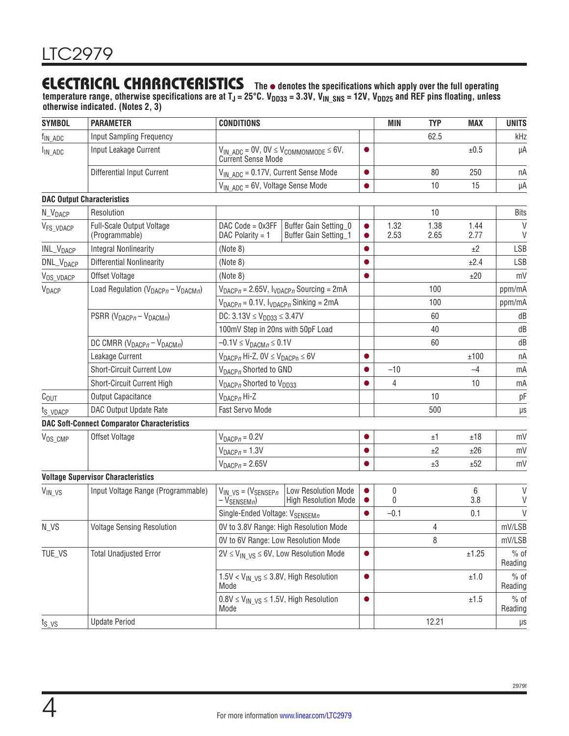temperature range, otherwise specifications are at T<sub>J</sub> = 25°C. V<sub>DD33</sub> = 3.3V, V<sub>IN\_SNS</sub> = 12V, V<sub>DD25</sub> and REF pins floating, unless **otherwise indicated. (Notes 2, 3)**

| <b>SYMBOL</b>         | <b>PARAMETER</b>                                   | <b>CONDITIONS</b>                                                 |                                                                                  |                        | <b>MIN</b>   | <b>TYP</b>     | <b>MAX</b>   | <b>UNITS</b>           |
|-----------------------|----------------------------------------------------|-------------------------------------------------------------------|----------------------------------------------------------------------------------|------------------------|--------------|----------------|--------------|------------------------|
| $f_{IN\_\text{ADC}}$  | Input Sampling Frequency                           |                                                                   |                                                                                  |                        |              | 62.5           |              | kHz                    |
| $I_{IN \_ ADC}$       | Input Leakage Current                              |                                                                   | $V_{IN\_\text{ADC}} = 0V, 0V \leq V_{COMMONMODE} \leq 6V,$<br>Current Sense Mode | $\bullet$              |              |                | ±0.5         | μA                     |
|                       | <b>Differential Input Current</b>                  | $V_{IN\ ADC} = 0.17V$ , Current Sense Mode                        |                                                                                  | $\bullet$              |              | 80             | 250          | nA                     |
|                       |                                                    | $V_{IN \ ADC} = 6V$ , Voltage Sense Mode                          |                                                                                  | $\bullet$              |              | 10             | 15           | μA                     |
|                       | <b>DAC Output Characteristics</b>                  |                                                                   |                                                                                  |                        |              |                |              |                        |
| N_V <sub>DACP</sub>   | Resolution                                         |                                                                   |                                                                                  |                        |              | 10             |              | <b>Bits</b>            |
| V <sub>FS_VDACP</sub> | Full-Scale Output Voltage<br>(Programmable)        | $DAC Code = 0x3FF$<br>DAC Polarity = $1$                          | Buffer Gain Setting 0<br>Buffer Gain Setting_1                                   | $\bullet$<br>$\bullet$ | 1.32<br>2.53 | 1.38<br>2.65   | 1.44<br>2.77 | $\mathsf{V}$<br>$\vee$ |
| INL_V <sub>DACP</sub> | <b>Integral Nonlinearity</b>                       | (Note 8)                                                          |                                                                                  |                        |              |                | ±2           | LSB                    |
| DNL_V <sub>DACP</sub> | <b>Differential Nonlinearity</b>                   | (Note 8)                                                          |                                                                                  | $\bullet$              |              |                | ±2.4         | LSB                    |
| V <sub>OS_VDACP</sub> | Offset Voltage                                     | (Note 8)                                                          |                                                                                  | $\bullet$              |              |                | ±20          | mV                     |
| <b>V</b> DACP         | Load Regulation ( $V_{DACP} - V_{DACMn}$ )         |                                                                   | $V_{DACP} = 2.65V$ , $V_{VDACP}$ Sourcing = 2mA                                  |                        |              | 100            |              | ppm/mA                 |
|                       |                                                    | $V_{DACP} = 0.1V$ , $V_{DACP}$ Sinking = 2mA                      |                                                                                  |                        |              | 100            |              | ppm/mA                 |
|                       | PSRR ( $V_{DACPn} - V_{DACMn}$ )                   | DC: $3.13V \le V_{DD33} \le 3.47V$                                |                                                                                  |                        |              | 60             |              | dB                     |
|                       |                                                    | 100mV Step in 20ns with 50pF Load                                 |                                                                                  |                        |              | 40             |              | dB                     |
|                       | DC CMRR ( $V_{DAGPn} - V_{DACMn}$ )                | $-0.1V \leq V_{DACMn} \leq 0.1V$                                  |                                                                                  |                        |              | 60             |              | dB                     |
|                       | Leakage Current                                    | $V_{DACP}$ Hi-Z, $OV \leq V_{DACP} \leq 6V$                       |                                                                                  | 0                      |              |                | ±100         | nA                     |
|                       | <b>Short-Circuit Current Low</b>                   | V <sub>DACPn</sub> Shorted to GND                                 |                                                                                  | $\bullet$              | $-10$        |                | $-4$         | mA                     |
|                       | Short-Circuit Current High                         | V <sub>DACP</sub> Shorted to V <sub>DD33</sub>                    |                                                                                  |                        | 4            |                | 10           | mA                     |
| $C_{OUT}$             | Output Capacitance                                 | $V_{DACPn}$ Hi-Z                                                  |                                                                                  |                        |              | 10             |              | pF                     |
| t <sub>S</sub> VDACP  | DAC Output Update Rate                             | <b>Fast Servo Mode</b>                                            |                                                                                  |                        |              | 500            |              | $\mu s$                |
|                       | <b>DAC Soft-Connect Comparator Characteristics</b> |                                                                   |                                                                                  |                        |              |                |              |                        |
| V <sub>OS_CMP</sub>   | Offset Voltage                                     | $V_{DACP} = 0.2V$                                                 |                                                                                  | ●                      |              | ±1             | ±18          | mV                     |
|                       |                                                    | $V_{DACPn = 1.3V$                                                 |                                                                                  |                        |              | ±2             | ±26          | mV                     |
|                       |                                                    | $V_{DACPn = 2.65V$                                                |                                                                                  | $\bullet$              |              | ±3             | ±52          | mV                     |
|                       | <b>Voltage Supervisor Characteristics</b>          |                                                                   |                                                                                  |                        |              |                |              |                        |
| $V_{IN_VS}$           | Input Voltage Range (Programmable)                 | $V_{IN}$ vs = ( $V_{SENSEPn}$<br>$-V_{SENSEMn}$                   | <b>Low Resolution Mode</b><br><b>High Resolution Mode</b>                        | $\bullet$              | 0<br>0       |                | 6<br>3.8     | V<br>V                 |
|                       |                                                    | Single-Ended Voltage: V <sub>SENSEMn</sub>                        |                                                                                  | $\bullet$              | $-0.1$       |                | 0.1          | V                      |
| N VS                  | <b>Voltage Sensing Resolution</b>                  | OV to 3.8V Range: High Resolution Mode                            |                                                                                  |                        |              | $\overline{4}$ |              | mV/LSB                 |
|                       |                                                    | OV to 6V Range: Low Resolution Mode                               |                                                                                  |                        |              | 8              |              | mV/LSB                 |
| TUE_VS                | <b>Total Unadjusted Error</b>                      |                                                                   | $2V \leq V_{IN\ VS} \leq 6V$ , Low Resolution Mode                               | $\bullet$              |              |                | ±1.25        | $%$ of<br>Reading      |
|                       |                                                    | $1.5$ V < V <sub>IN VS</sub> $\leq$ 3.8V, High Resolution<br>Mode |                                                                                  | $\bullet$              |              |                | ±1.0         | $%$ of<br>Reading      |
|                       |                                                    | $0.8V \leq V_{IN}$ $_{VS} \leq 1.5V$ , High Resolution<br>Mode    |                                                                                  | $\bullet$              |              |                | $\pm 1.5$    | $%$ of<br>Reading      |
| $t_{S_V}$             | <b>Update Period</b>                               |                                                                   |                                                                                  |                        |              | 12.21          |              | $\mu s$                |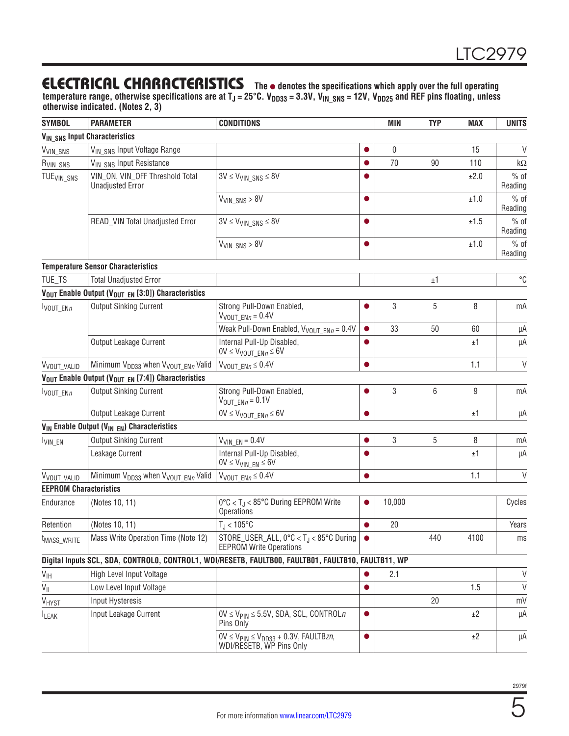temperature range, otherwise specifications are at T<sub>J</sub> = 25°C. V<sub>DD33</sub> = 3.3V, V<sub>IN\_SNS</sub> = 12V, V<sub>DD25</sub> and REF pins floating, unless **otherwise indicated. (Notes 2, 3)**

| <b>SYMBOL</b>                 | <b>PARAMETER</b>                                                           | <b>CONDITIONS</b>                                                                                     |           | <b>MIN</b> | <b>TYP</b> | <b>MAX</b> | <b>UNITS</b>      |
|-------------------------------|----------------------------------------------------------------------------|-------------------------------------------------------------------------------------------------------|-----------|------------|------------|------------|-------------------|
|                               | <b>VIN_SNS Input Characteristics</b>                                       |                                                                                                       |           |            |            |            |                   |
| V <sub>VIN_SNS</sub>          | V <sub>IN SNS</sub> Input Voltage Range                                    |                                                                                                       |           | 0          |            | 15         | V                 |
| R <sub>VIN_SNS</sub>          | V <sub>IN SNS</sub> Input Resistance                                       |                                                                                                       |           | 70         | 90         | 110        | k $\Omega$        |
| TUE <sub>VIN</sub> SNS        | VIN_ON, VIN_OFF Threshold Total<br><b>Unadjusted Error</b>                 | $3V \leq V_{VIN}$ SNS $\leq 8V$                                                                       | ●         |            |            | ±2.0       | $%$ of<br>Reading |
|                               |                                                                            | $V_{VIN$ SNS $> 8V$                                                                                   | $\bullet$ |            |            | ±1.0       | $%$ of<br>Reading |
|                               | READ_VIN Total Unadjusted Error                                            | $3V \leq V_{VIN}$ SNS $\leq 8V$                                                                       | $\bullet$ |            |            | ±1.5       | $%$ of<br>Reading |
|                               |                                                                            | $V_{VIN$ SNS $> 8V$                                                                                   | $\bullet$ |            |            | $\pm 1.0$  | $%$ of<br>Reading |
|                               | <b>Temperature Sensor Characteristics</b>                                  |                                                                                                       |           |            |            |            |                   |
| TUE_TS                        | <b>Total Unadjusted Error</b>                                              |                                                                                                       |           |            | ±1         |            | $^{\circ}C$       |
|                               | V <sub>OUT</sub> Enable Output (V <sub>OUT EN</sub> [3:0]) Characteristics |                                                                                                       |           |            |            |            |                   |
| VOUT_ENn                      | <b>Output Sinking Current</b>                                              | Strong Pull-Down Enabled,<br>$V_{VOUT_ENn} = 0.4V$                                                    |           | 3          | 5          | 8          | mA                |
|                               |                                                                            | Weak Pull-Down Enabled, $V_{VOUT ENn} = 0.4V$                                                         | $\bullet$ | 33         | 50         | 60         | μA                |
|                               | Output Leakage Current                                                     | Internal Pull-Up Disabled,<br>$0V \leq V_{VOUT\_ENB} \leq 6V$                                         |           |            |            | ±1         | μA                |
| VVOUT_VALID                   | Minimum V <sub>DD33</sub> when V <sub>VOUT ENn</sub> Valid                 | $V_{VOUT ENn \leq 0.4V$                                                                               | $\bullet$ |            |            | 1.1        | V                 |
|                               | V <sub>OUT</sub> Enable Output (V <sub>OUT EN</sub> [7:4]) Characteristics |                                                                                                       |           |            |            |            |                   |
| $I_{VOUT_ENn}$                | <b>Output Sinking Current</b>                                              | Strong Pull-Down Enabled,<br>$V_{\text{OUT}}$ $_{ENn}$ = 0.1V                                         | 0         | 3          | 6          | 9          | mA                |
|                               | Output Leakage Current                                                     | $0V \leq V_{VOUT EN,0} \leq 6V$                                                                       | $\bullet$ |            |            | ±1         | μA                |
|                               | V <sub>IN</sub> Enable Output (V <sub>IN EN</sub> ) Characteristics        |                                                                                                       |           |            |            |            |                   |
| VIN_EN                        | <b>Output Sinking Current</b>                                              | $V_{VINEN} = 0.4V$                                                                                    | $\bullet$ | 3          | 5          | 8          | mA                |
|                               | Leakage Current                                                            | Internal Pull-Up Disabled,<br>$0V \leq V_{VIN EN} \leq 6V$                                            |           |            |            | ±1         | μA                |
| V <sub>VOUT_VALID</sub>       | Minimum V <sub>DD33</sub> when V <sub>VOUT_ENn</sub> Valid                 | $V_{VOUT ENn \leq 0.4V$                                                                               | $\bullet$ |            |            | 1.1        | V                 |
| <b>EEPROM Characteristics</b> |                                                                            |                                                                                                       |           |            |            |            |                   |
| Endurance                     | (Notes 10, 11)                                                             | $0^{\circ}$ C < T <sub>J</sub> < 85°C During EEPROM Write<br><b>Operations</b>                        |           | 10,000     |            |            | Cycles            |
| Retention                     | (Notes 10, 11)                                                             | $T_J < 105^{\circ}$ C                                                                                 | $\bullet$ | 20         |            |            | Years             |
| t <sub>MASS_WRITE</sub>       | Mass Write Operation Time (Note 12)                                        | STORE_USER_ALL, $0^{\circ}C < T_J < 85^{\circ}C$ During $  \bullet$<br><b>EEPROM Write Operations</b> |           |            | 440        | 4100       | ms                |
|                               |                                                                            | Digital Inputs SCL, SDA, CONTROLO, CONTROL1, WDI/RESETB, FAULTB00, FAULTB01, FAULTB10, FAULTB11, WP   |           |            |            |            |                   |
| $V_{\text{IH}}$               | High Level Input Voltage                                                   |                                                                                                       |           | 2.1        |            |            | V                 |
| V <sub>IL</sub>               | Low Level Input Voltage                                                    |                                                                                                       | 0         |            |            | 1.5        | V                 |
| V <sub>HYST</sub>             | Input Hysteresis                                                           |                                                                                                       |           |            | 20         |            | mV                |
| <b>LEAK</b>                   | Input Leakage Current                                                      | $0V \le V_{PIN} \le 5.5V$ , SDA, SCL, CONTROL n<br>Pins Only                                          | $\bullet$ |            |            | ±2         | μA                |
|                               |                                                                            | $0V \leq V_{\text{PIN}} \leq V_{\text{DD33}} + 0.3V$ , FAULTBzn,<br>WDI/RESETB, WP Pins Only          | $\bullet$ |            |            | ±2         | μA                |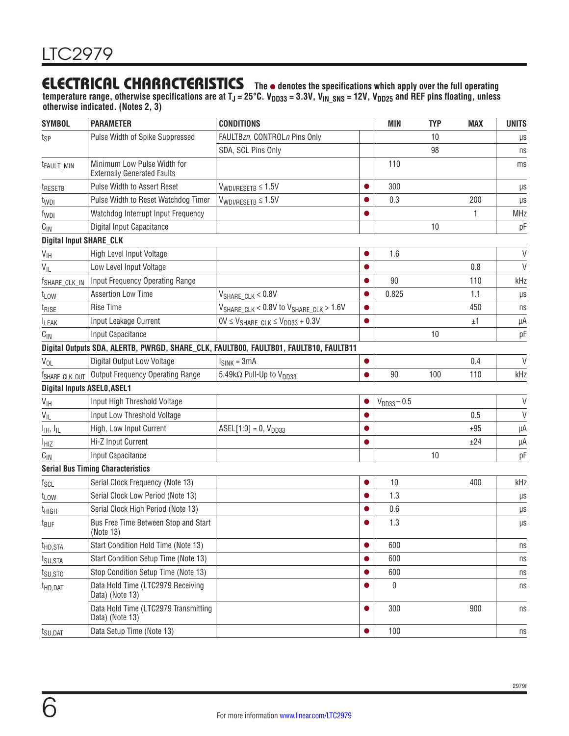temperature range, otherwise specifications are at T<sub>J</sub> = 25°C. V<sub>DD33</sub> = 3.3V, V<sub>IN\_SNS</sub> = 12V, V<sub>DD25</sub> and REF pins floating, unless **otherwise indicated. (Notes 2, 3)**

| <b>SYMBOL</b>                      | <b>PARAMETER</b>                                                  | <b>CONDITIONS</b>                                                                     |           | <b>MIN</b>       | <b>TYP</b> | <b>MAX</b> | <b>UNITS</b> |
|------------------------------------|-------------------------------------------------------------------|---------------------------------------------------------------------------------------|-----------|------------------|------------|------------|--------------|
| t <sub>SP</sub>                    | Pulse Width of Spike Suppressed                                   | FAULTBzn, CONTROLn Pins Only                                                          |           |                  | 10         |            | $\mu s$      |
|                                    |                                                                   | SDA, SCL Pins Only                                                                    |           |                  | 98         |            | ns           |
| t <sub>FAULT_MIN</sub>             | Minimum Low Pulse Width for<br><b>Externally Generated Faults</b> |                                                                                       |           | 110              |            |            | ms           |
| t <sub>RESETB</sub>                | Pulse Width to Assert Reset                                       | $V_{WDI/RESETB} \leq 1.5V$                                                            | $\bullet$ | 300              |            |            | $\mu s$      |
| t <sub>WDI</sub>                   | Pulse Width to Reset Watchdog Timer                               | $V_{WDI/RESETB} \leq 1.5V$                                                            | $\bullet$ | 0.3              |            | 200        | $\mu s$      |
| f <sub>WDI</sub>                   | Watchdog Interrupt Input Frequency                                |                                                                                       |           |                  |            | 1          | <b>MHz</b>   |
| $C_{\text{IN}}$                    | Digital Input Capacitance                                         |                                                                                       |           |                  | 10         |            | pF           |
| <b>Digital Input SHARE_CLK</b>     |                                                                   |                                                                                       |           |                  |            |            |              |
| $V_{\text{IH}}$                    | High Level Input Voltage                                          |                                                                                       | $\bullet$ | 1.6              |            |            | $\vee$       |
| $V_{ L}$                           | Low Level Input Voltage                                           |                                                                                       | $\bullet$ |                  |            | 0.8        | $\vee$       |
| f <sub>SHARE_CLK_IN</sub>          | <b>Input Frequency Operating Range</b>                            |                                                                                       | $\bullet$ | 90               |            | 110        | kHz          |
| t <sub>LOW</sub>                   | <b>Assertion Low Time</b>                                         | VSHARE_CLK < 0.8V                                                                     | $\bullet$ | 0.825            |            | 1.1        | $\mu s$      |
| t <sub>rise</sub>                  | Rise Time                                                         | $V_{SHARE CLK}$ < 0.8V to $V_{SHARE CLK}$ > 1.6V                                      | $\bullet$ |                  |            | 450        | ns           |
| <b>LEAK</b>                        | Input Leakage Current                                             | $0V \leq V_{SHARE CLK} \leq V_{DD33} + 0.3V$                                          | $\bullet$ |                  |            | ±1         | μA           |
| $C_{\text{IN}}$                    | Input Capacitance                                                 |                                                                                       |           |                  | 10         |            | pF           |
|                                    |                                                                   | Digital Outputs SDA, ALERTB, PWRGD, SHARE_CLK, FAULTB00, FAULTB01, FAULTB10, FAULTB11 |           |                  |            |            |              |
| V <sub>OL</sub>                    | Digital Output Low Voltage                                        | $I_{SINK} = 3mA$                                                                      | $\bullet$ |                  |            | 0.4        | $\vee$       |
| <sup>f</sup> SHARE CLK OUT         | <b>Output Frequency Operating Range</b>                           | 5.49kΩ Pull-Up to V <sub>DD33</sub>                                                   | $\bullet$ | 90               | 100        | 110        | kHz          |
| <b>Digital Inputs ASELO, ASEL1</b> |                                                                   |                                                                                       |           |                  |            |            |              |
| $V_{\text{IH}}$                    | Input High Threshold Voltage                                      |                                                                                       |           | $V_{DD33} - 0.5$ |            |            | $\vee$       |
| $V_{IL}$                           | Input Low Threshold Voltage                                       |                                                                                       | $\bullet$ |                  |            | 0.5        | $\vee$       |
| $I_{\text{IH}}$ , $I_{\text{IL}}$  | High, Low Input Current                                           | $ASEL[1:0] = 0, VDD33$                                                                | $\bullet$ |                  |            | ±95        | μA           |
| <b>I<sub>HIZ</sub></b>             | Hi-Z Input Current                                                |                                                                                       | $\bullet$ |                  |            | ±24        | μA           |
| $C_{\text{IN}}$                    | Input Capacitance                                                 |                                                                                       |           |                  | 10         |            | pF           |
|                                    | <b>Serial Bus Timing Characteristics</b>                          |                                                                                       |           |                  |            |            |              |
| $f_{SCL}$                          | Serial Clock Frequency (Note 13)                                  |                                                                                       | $\bullet$ | 10               |            | 400        | kHz          |
| $t_{LOW}$                          | Serial Clock Low Period (Note 13)                                 |                                                                                       |           | 1.3              |            |            | $\mu s$      |
| t <sub>HIGH</sub>                  | Serial Clock High Period (Note 13)                                |                                                                                       |           | 0.6              |            |            | $\mu s$      |
| $t_{\text{BUF}}$                   | Bus Free Time Between Stop and Start<br>(Note 13)                 |                                                                                       | $\bullet$ | 1.3              |            |            | μs           |
| t <sub>HD,STA</sub>                | Start Condition Hold Time (Note 13)                               |                                                                                       | $\bullet$ | 600              |            |            | ns           |
| t <sub>SU,STA</sub>                | Start Condition Setup Time (Note 13)                              |                                                                                       |           | 600              |            |            | ns           |
| t <sub>SU,STO</sub>                | Stop Condition Setup Time (Note 13)                               |                                                                                       | $\bullet$ | 600              |            |            | ns           |
| $t_{HD, DAT}$                      | Data Hold Time (LTC2979 Receiving<br>Data) (Note 13)              |                                                                                       |           | 0                |            |            | ns           |
|                                    | Data Hold Time (LTC2979 Transmitting<br>Data) (Note 13)           |                                                                                       |           | 300              |            | 900        | ns           |
| t <sub>SU,DAT</sub>                | Data Setup Time (Note 13)                                         |                                                                                       |           | 100              |            |            | ns           |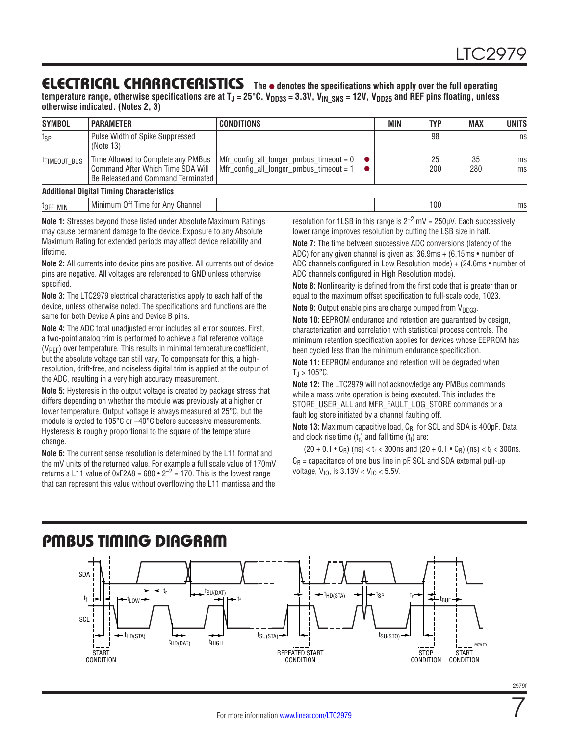temperature range, otherwise specifications are at T<sub>J</sub> = 25°C. V<sub>DD33</sub> = 3.3V, V<sub>IN\_SNS</sub> = 12V, V<sub>DD25</sub> and REF pins floating, unless **otherwise indicated. (Notes 2, 3)**

| <b>SYMBOL</b>            | <b>PARAMETER</b>                                                                                              | <b>CONDITIONS</b>                                                                                             | MIN | <b>TYP</b> | <b>MAX</b> | <b>UNITS</b> |
|--------------------------|---------------------------------------------------------------------------------------------------------------|---------------------------------------------------------------------------------------------------------------|-----|------------|------------|--------------|
| t <sub>SP</sub>          | Pulse Width of Spike Suppressed<br>(Note 13)                                                                  |                                                                                                               |     | 98         |            | ns           |
| <sup>t</sup> TIMEOUT_BUS | Time Allowed to Complete any PMBus<br>Command After Which Time SDA Will<br>Be Released and Command Terminated | $\mid$ Mfr_config_all_longer_pmbus_timeout = 0 $\mid \bullet \mid$<br>Mfr_config_all_longer_pmbus_timeout = 1 |     | 25<br>200  | 35<br>280  | ms<br>ms     |
|                          | <b>Additional Digital Timing Characteristics</b>                                                              |                                                                                                               |     |            |            |              |
| t <sub>off</sub> MIN     | Minimum Off Time for Any Channel                                                                              |                                                                                                               |     | 100        |            | ms           |

**Note 1:** Stresses beyond those listed under Absolute Maximum Ratings may cause permanent damage to the device. Exposure to any Absolute Maximum Rating for extended periods may affect device reliability and lifetime.

**Note 2:** All currents into device pins are positive. All currents out of device pins are negative. All voltages are referenced to GND unless otherwise specified.

**Note 3:** The LTC2979 electrical characteristics apply to each half of the device, unless otherwise noted. The specifications and functions are the same for both Device A pins and Device B pins.

**Note 4:** The ADC total unadjusted error includes all error sources. First, a two-point analog trim is performed to achieve a flat reference voltage (VREF) over temperature. This results in minimal temperature coefficient, but the absolute voltage can still vary. To compensate for this, a highresolution, drift-free, and noiseless digital trim is applied at the output of the ADC, resulting in a very high accuracy measurement.

**Note 5:** Hysteresis in the output voltage is created by package stress that differs depending on whether the module was previously at a higher or lower temperature. Output voltage is always measured at 25°C, but the module is cycled to 105°C or –40°C before successive measurements. Hysteresis is roughly proportional to the square of the temperature change.

**Note 6:** The current sense resolution is determined by the L11 format and the mV units of the returned value. For example a full scale value of 170mV returns a L11 value of 0xF2A8 =  $680 \cdot 2^{-2}$  = 170. This is the lowest range that can represent this value without overflowing the L11 mantissa and the

resolution for 1LSB in this range is  $2^{-2}$  mV = 250uV. Each successively lower range improves resolution by cutting the LSB size in half.

**Note 7:** The time between successive ADC conversions (latency of the ADC) for any given channel is given as: 36.9ms + (6.15ms • number of ADC channels configured in Low Resolution mode) + (24.6ms • number of ADC channels configured in High Resolution mode).

**Note 8:** Nonlinearity is defined from the first code that is greater than or equal to the maximum offset specification to full-scale code, 1023.

**Note 9:** Output enable pins are charge pumped from V<sub>DD33</sub>.

**Note 10:** EEPROM endurance and retention are guaranteed by design, characterization and correlation with statistical process controls. The minimum retention specification applies for devices whose EEPROM has been cycled less than the minimum endurance specification.

**Note 11:** EEPROM endurance and retention will be degraded when  $T_{\rm J}$  > 105°C.

**Note 12:** The LTC2979 will not acknowledge any PMBus commands while a mass write operation is being executed. This includes the STORE\_USER\_ALL and MFR\_FAULT\_LOG\_STORE commands or a fault log store initiated by a channel faulting off.

**Note 13:** Maximum capacitive load, C<sub>B</sub>, for SCL and SDA is 400pF. Data and clock rise time  $(t_r)$  and fall time  $(t_f)$  are:

 $(20 + 0.1 \cdot C_B)$  (ns) <  $t_r$  < 300ns and (20 + 0.1  $\cdot$   $C_B$ ) (ns) <  $t_f$  < 300ns.  $C_B$  = capacitance of one bus line in pF. SCL and SDA external pull-up voltage,  $V_{10}$ , is  $3.13V < V_{10} < 5.5V$ .

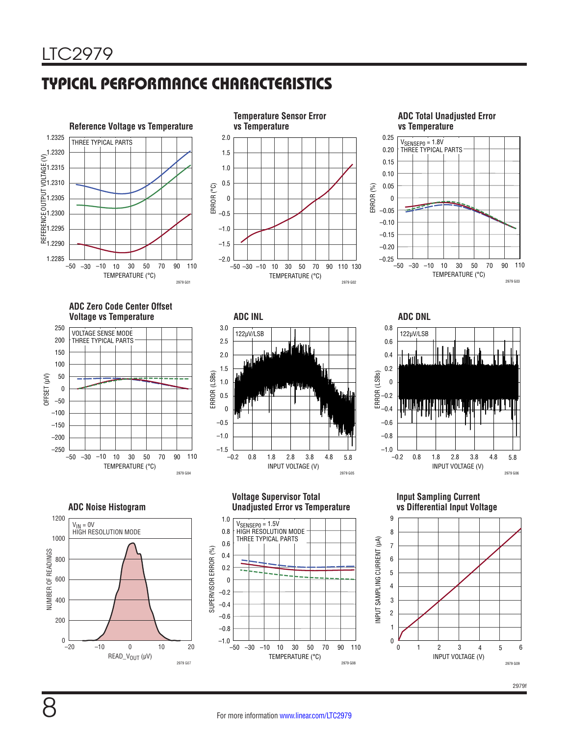# TYPICAL PERFORMANCE CHARACTERISTICS



**ADC Total Unadjusted Error vs Temperature**









**Input Sampling Current vs Differential Input Voltage**

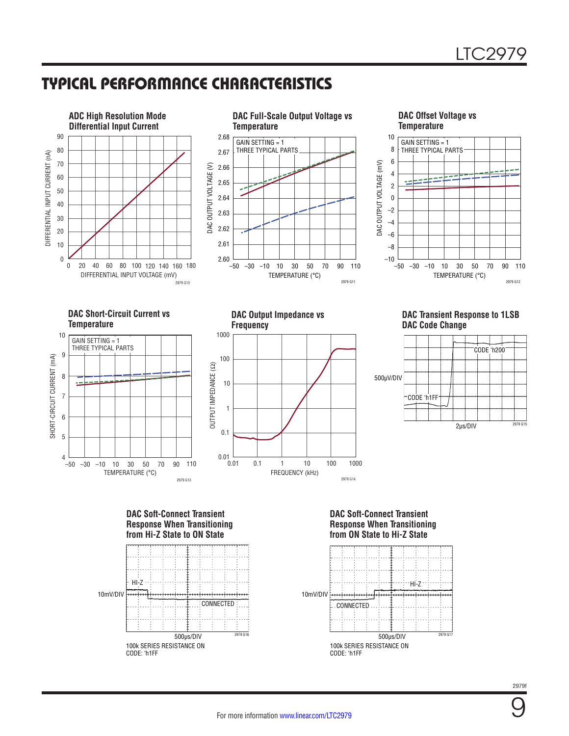### TYPICAL PERFORMANCE CHARACTERISTICS



**Response When Transitioning from Hi-Z State to ON State**



### **Response When Transitioning from ON State to Hi-Z State**

![](_page_8_Figure_6.jpeg)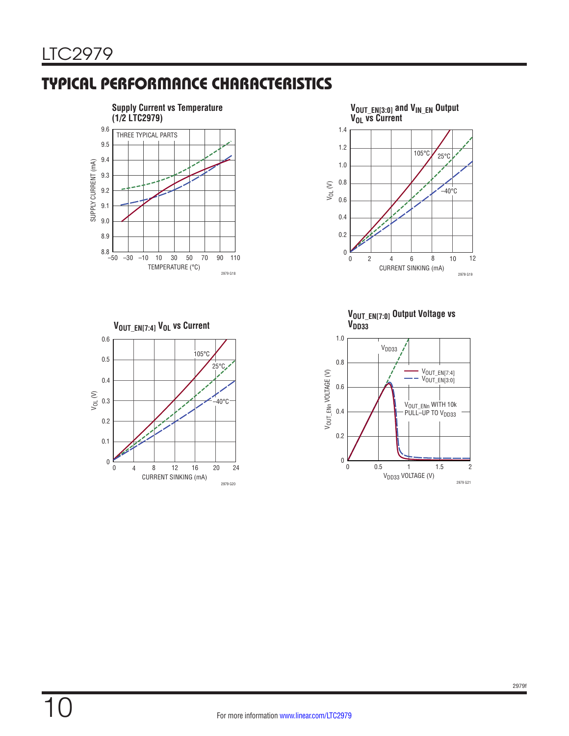# TYPICAL PERFORMANCE CHARACTERISTICS

![](_page_9_Figure_2.jpeg)

**VOUT\_EN[7:4] VOL vs Current**

![](_page_9_Figure_4.jpeg)

![](_page_9_Figure_5.jpeg)

![](_page_9_Figure_6.jpeg)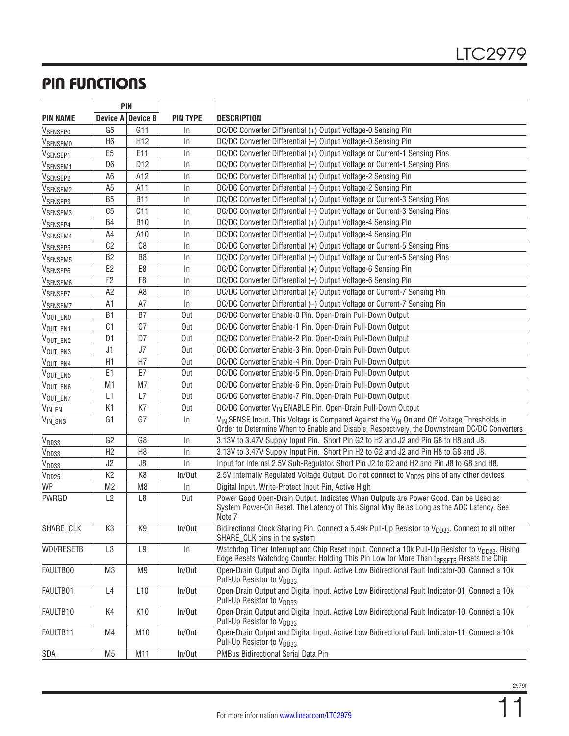# PIN FUNCTIONS

|                      | <b>PIN</b>     |                   |                 |                                                                                                                                                                                                         |
|----------------------|----------------|-------------------|-----------------|---------------------------------------------------------------------------------------------------------------------------------------------------------------------------------------------------------|
| <b>PIN NAME</b>      |                | Device A Device B | <b>PIN TYPE</b> | <b>DESCRIPTION</b>                                                                                                                                                                                      |
| <b>VSENSEPO</b>      | G <sub>5</sub> | G11               | In.             | DC/DC Converter Differential (+) Output Voltage-0 Sensing Pin                                                                                                                                           |
| <b>VSENSEMO</b>      | H <sub>6</sub> | H <sub>12</sub>   | $\ln$           | DC/DC Converter Differential (-) Output Voltage-0 Sensing Pin                                                                                                                                           |
| V <sub>SENSEP1</sub> | E <sub>5</sub> | E11               | In              | DC/DC Converter Differential (+) Output Voltage or Current-1 Sensing Pins                                                                                                                               |
| V <sub>SENSEM1</sub> | D <sub>6</sub> | D12               | $\ln$           | DC/DC Converter Differential (-) Output Voltage or Current-1 Sensing Pins                                                                                                                               |
| V <sub>SENSEP2</sub> | A <sub>6</sub> | A12               | $\ln$           | DC/DC Converter Differential (+) Output Voltage-2 Sensing Pin                                                                                                                                           |
| V <sub>SENSEM2</sub> | A <sub>5</sub> | A11               | $\ln$           | DC/DC Converter Differential (-) Output Voltage-2 Sensing Pin                                                                                                                                           |
| V <sub>SENSEP3</sub> | B <sub>5</sub> | <b>B11</b>        | In.             | DC/DC Converter Differential (+) Output Voltage or Current-3 Sensing Pins                                                                                                                               |
| V <sub>SENSEM3</sub> | C <sub>5</sub> | C11               | In.             | DC/DC Converter Differential (-) Output Voltage or Current-3 Sensing Pins                                                                                                                               |
| V <sub>SENSEP4</sub> | B4             | <b>B10</b>        | In              | DC/DC Converter Differential (+) Output Voltage-4 Sensing Pin                                                                                                                                           |
| V <sub>SENSEM4</sub> | A4             | A10               | In.             | DC/DC Converter Differential (-) Output Voltage-4 Sensing Pin                                                                                                                                           |
| V <sub>SENSEP5</sub> | C <sub>2</sub> | C8                | In.             | DC/DC Converter Differential (+) Output Voltage or Current-5 Sensing Pins                                                                                                                               |
| V <sub>SENSEM5</sub> | B <sub>2</sub> | B <sub>8</sub>    | In              | DC/DC Converter Differential (-) Output Voltage or Current-5 Sensing Pins                                                                                                                               |
| V <sub>SENSEP6</sub> | E <sub>2</sub> | E <sub>8</sub>    | In              | DC/DC Converter Differential (+) Output Voltage-6 Sensing Pin                                                                                                                                           |
| V <sub>SENSEM6</sub> | F <sub>2</sub> | F <sub>8</sub>    | In.             | DC/DC Converter Differential (-) Output Voltage-6 Sensing Pin                                                                                                                                           |
| V <sub>SENSEP7</sub> | A <sub>2</sub> | A8                | $\ln$           | DC/DC Converter Differential (+) Output Voltage or Current-7 Sensing Pin                                                                                                                                |
| V <sub>SENSEM7</sub> | A1             | A7                | In              | DC/DC Converter Differential (-) Output Voltage or Current-7 Sensing Pin                                                                                                                                |
| VOUT_ENO             | B <sub>1</sub> | B7                | Out             | DC/DC Converter Enable-0 Pin. Open-Drain Pull-Down Output                                                                                                                                               |
| VOUT_EN1             | C <sub>1</sub> | C <sub>7</sub>    | Out             | DC/DC Converter Enable-1 Pin. Open-Drain Pull-Down Output                                                                                                                                               |
| VOUT_EN2             | D <sub>1</sub> | D7                | Out             | DC/DC Converter Enable-2 Pin. Open-Drain Pull-Down Output                                                                                                                                               |
| VOUT_EN3             | J1             | J7                | Out             | DC/DC Converter Enable-3 Pin. Open-Drain Pull-Down Output                                                                                                                                               |
| VOUT_EN4             | H1             | H7                | Out             | DC/DC Converter Enable-4 Pin. Open-Drain Pull-Down Output                                                                                                                                               |
| VOUT_EN5             | E <sub>1</sub> | E7                | Out             | DC/DC Converter Enable-5 Pin. Open-Drain Pull-Down Output                                                                                                                                               |
| VOUT_EN6             | M <sub>1</sub> | M7                | Out             | DC/DC Converter Enable-6 Pin. Open-Drain Pull-Down Output                                                                                                                                               |
| VOUT_ENZ             | L1             | L7                | Out             | DC/DC Converter Enable-7 Pin. Open-Drain Pull-Down Output                                                                                                                                               |
| $V_{IN\_EN}$         | K <sub>1</sub> | K7                | Out             | DC/DC Converter V <sub>IN</sub> ENABLE Pin. Open-Drain Pull-Down Output                                                                                                                                 |
| V <sub>IN_SNS</sub>  | G <sub>1</sub> | G7                | In.             | V <sub>IN</sub> SENSE Input. This Voltage is Compared Against the V <sub>IN</sub> On and Off Voltage Thresholds in                                                                                      |
|                      |                |                   |                 | Order to Determine When to Enable and Disable, Respectively, the Downstream DC/DC Converters                                                                                                            |
| V <sub>DD33</sub>    | G <sub>2</sub> | G8                | In              | 3.13V to 3.47V Supply Input Pin. Short Pin G2 to H2 and J2 and Pin G8 to H8 and J8.                                                                                                                     |
| V <sub>DD33</sub>    | H <sub>2</sub> | H <sub>8</sub>    | $\ln$           | 3.13V to 3.47V Supply Input Pin. Short Pin H2 to G2 and J2 and Pin H8 to G8 and J8.                                                                                                                     |
| V <sub>DD33</sub>    | J2             | J8                | $\ln$           | Input for Internal 2.5V Sub-Regulator. Short Pin J2 to G2 and H2 and Pin J8 to G8 and H8.                                                                                                               |
| V <sub>DD25</sub>    | K <sub>2</sub> | K <sub>8</sub>    | In/Out          | 2.5V Internally Regulated Voltage Output. Do not connect to V <sub>DD25</sub> pins of any other devices                                                                                                 |
| <b>WP</b>            | M <sub>2</sub> | M <sub>8</sub>    | In.             | Digital Input. Write-Protect Input Pin, Active High                                                                                                                                                     |
| PWRGD                | L2             | L8                | Out             | Power Good Open-Drain Output. Indicates When Outputs are Power Good. Can be Used as<br>System Power-On Reset. The Latency of This Signal May Be as Long as the ADC Latency. See<br>Note 7               |
| SHARE_CLK            | K3             | K9                | In/Out          | Bidirectional Clock Sharing Pin. Connect a 5.49k Pull-Up Resistor to V <sub>DD33</sub> . Connect to all other<br>SHARE_CLK pins in the system                                                           |
| WDI/RESETB           | L3             | L9                | $\ln$           | Watchdog Timer Interrupt and Chip Reset Input. Connect a 10k Pull-Up Resistor to V <sub>DD33</sub> . Rising<br>Edge Resets Watchdog Counter. Holding This Pin Low for More Than tRESETB Resets the Chip |
| FAULTB00             | M <sub>3</sub> | M <sub>9</sub>    | In/Out          | Open-Drain Output and Digital Input. Active Low Bidirectional Fault Indicator-00. Connect a 10k<br>Pull-Up Resistor to V <sub>DD33</sub>                                                                |
| FAULTB01             | L4             | L10               | In/Out          | Open-Drain Output and Digital Input. Active Low Bidirectional Fault Indicator-01. Connect a 10k<br>Pull-Up Resistor to V <sub>DD33</sub>                                                                |
| FAULTB10             | K4             | K10               | In/Out          | Open-Drain Output and Digital Input. Active Low Bidirectional Fault Indicator-10. Connect a 10k<br>Pull-Up Resistor to V <sub>DD33</sub>                                                                |
| FAULTB11             | M4             | M10               | In/Out          | Open-Drain Output and Digital Input. Active Low Bidirectional Fault Indicator-11. Connect a 10k<br>Pull-Up Resistor to V <sub>DD33</sub>                                                                |
| SDA                  | M <sub>5</sub> | M11               | In/Out          | PMBus Bidirectional Serial Data Pin                                                                                                                                                                     |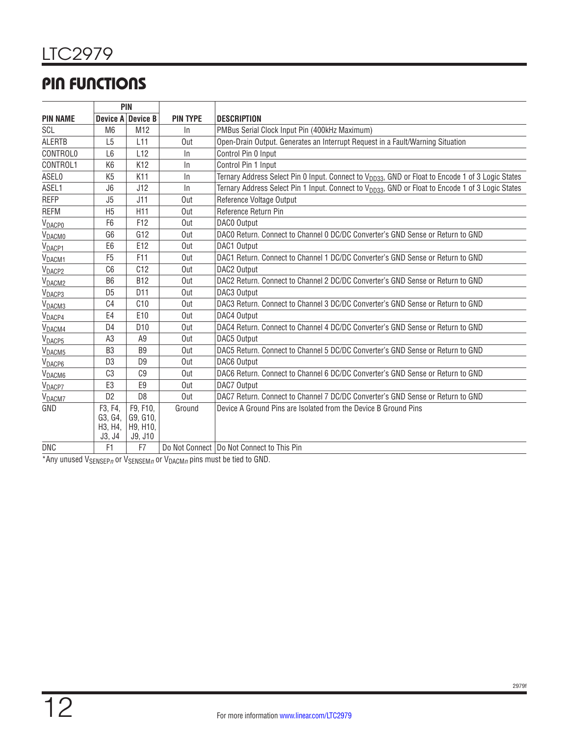# PIN FUNCTIONS

|                    | <b>PIN</b>                              |                                             |                 |                                                                                                               |  |  |  |
|--------------------|-----------------------------------------|---------------------------------------------|-----------------|---------------------------------------------------------------------------------------------------------------|--|--|--|
| <b>PIN NAME</b>    |                                         | Device A Device B                           | <b>PIN TYPE</b> | <b>DESCRIPTION</b>                                                                                            |  |  |  |
| SCL                | M <sub>6</sub>                          | M <sub>12</sub>                             | $\ln$           | PMBus Serial Clock Input Pin (400kHz Maximum)                                                                 |  |  |  |
| <b>ALERTB</b>      | L <sub>5</sub>                          | L11                                         | Out             | Open-Drain Output. Generates an Interrupt Request in a Fault/Warning Situation                                |  |  |  |
| <b>CONTROLO</b>    | L <sub>6</sub>                          | L12                                         | $\ln$           | Control Pin 0 Input                                                                                           |  |  |  |
| CONTROL1           | K <sub>6</sub>                          | K <sub>12</sub>                             | $\ln$           | Control Pin 1 Input                                                                                           |  |  |  |
| ASEL0              | K <sub>5</sub>                          | K11                                         | $\ln$           | Ternary Address Select Pin 0 Input. Connect to V <sub>DD33</sub> , GND or Float to Encode 1 of 3 Logic States |  |  |  |
| ASEL1              | J6                                      | J12                                         | $\ln$           | Ternary Address Select Pin 1 Input. Connect to V <sub>DD33</sub> , GND or Float to Encode 1 of 3 Logic States |  |  |  |
| <b>REFP</b>        | J <sub>5</sub>                          | J11                                         | Out             | Reference Voltage Output                                                                                      |  |  |  |
| <b>REFM</b>        | H <sub>5</sub>                          | H <sub>11</sub>                             | Out             | Reference Return Pin                                                                                          |  |  |  |
| <b>VDACPO</b>      | F <sub>6</sub>                          | F12                                         | Out             | DAC0 Output                                                                                                   |  |  |  |
| V <sub>DACMO</sub> | G <sub>6</sub>                          | G12                                         | Out             | DACO Return, Connect to Channel O DC/DC Converter's GND Sense or Return to GND                                |  |  |  |
| V <sub>DACP1</sub> | E <sub>6</sub>                          | E12                                         | Out             | DAC1 Output                                                                                                   |  |  |  |
| V <sub>DACM1</sub> | F <sub>5</sub>                          | F11                                         | Out             | DAC1 Return. Connect to Channel 1 DC/DC Converter's GND Sense or Return to GND                                |  |  |  |
| V <sub>DACP2</sub> | C6                                      | C12                                         | Out             | DAC2 Output                                                                                                   |  |  |  |
| V <sub>DACM2</sub> | B <sub>6</sub>                          | <b>B12</b>                                  | Out             | DAC2 Return. Connect to Channel 2 DC/DC Converter's GND Sense or Return to GND                                |  |  |  |
| V <sub>DACP3</sub> | D <sub>5</sub>                          | D <sub>11</sub>                             | Out             | DAC3 Output                                                                                                   |  |  |  |
| V <sub>DACM3</sub> | C <sub>4</sub>                          | C10                                         | Out             | DAC3 Return. Connect to Channel 3 DC/DC Converter's GND Sense or Return to GND                                |  |  |  |
| V <sub>DACP4</sub> | E4                                      | E <sub>10</sub>                             | Out             | DAC4 Output                                                                                                   |  |  |  |
| V <sub>DACM4</sub> | D <sub>4</sub>                          | D <sub>10</sub>                             | Out             | DAC4 Return, Connect to Channel 4 DC/DC Converter's GND Sense or Return to GND                                |  |  |  |
| V <sub>DACP5</sub> | A <sub>3</sub>                          | A9                                          | Out             | DAC5 Output                                                                                                   |  |  |  |
| V <sub>DACM5</sub> | B <sub>3</sub>                          | B <sub>9</sub>                              | Out             | DAC5 Return. Connect to Channel 5 DC/DC Converter's GND Sense or Return to GND                                |  |  |  |
| V <sub>DACP6</sub> | D <sub>3</sub>                          | D <sub>9</sub>                              | Out             | DAC6 Output                                                                                                   |  |  |  |
| V <sub>DACM6</sub> | C <sub>3</sub>                          | C <sub>9</sub>                              | Out             | DAC6 Return. Connect to Channel 6 DC/DC Converter's GND Sense or Return to GND                                |  |  |  |
| V <sub>DACP7</sub> | E3                                      | E9                                          | Out             | DAC7 Output                                                                                                   |  |  |  |
| V <sub>DACM7</sub> | D <sub>2</sub>                          | D <sub>8</sub>                              | Out             | DAC7 Return, Connect to Channel 7 DC/DC Converter's GND Sense or Return to GND                                |  |  |  |
| GND                | F3, F4,<br>G3, G4,<br>H3, H4,<br>J3, J4 | F9, F10,<br>G9, G10,<br>H9, H10,<br>J9, J10 | Ground          | Device A Ground Pins are Isolated from the Device B Ground Pins                                               |  |  |  |
| <b>DNC</b>         | F1                                      | F7                                          |                 | Do Not Connect   Do Not Connect to This Pin                                                                   |  |  |  |

\*Any unused VSENSEP*n* or VSENSEM*n* or VDACM*n* pins must be tied to GND.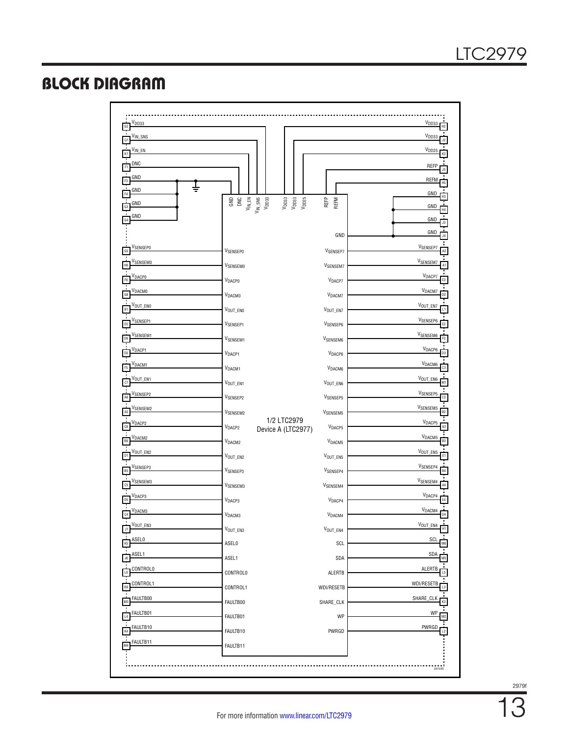## BLOCK DIAGRAM

| OD33<br>G <sub>2</sub>                     |                                                                                                                                                                                                                                                                                                                                                                                                                                                              |                                                        | V <sub>DD33</sub>                       |
|--------------------------------------------|--------------------------------------------------------------------------------------------------------------------------------------------------------------------------------------------------------------------------------------------------------------------------------------------------------------------------------------------------------------------------------------------------------------------------------------------------------------|--------------------------------------------------------|-----------------------------------------|
| V <sub>IN_SNS</sub><br>G1                  |                                                                                                                                                                                                                                                                                                                                                                                                                                                              |                                                        | V <sub>DD33</sub>                       |
| V <sub>IN_EN</sub>                         |                                                                                                                                                                                                                                                                                                                                                                                                                                                              |                                                        | V <sub>DD25</sub>                       |
| <b>DNC</b><br>F1                           |                                                                                                                                                                                                                                                                                                                                                                                                                                                              |                                                        | <b>REFP</b>                             |
| GND<br>F3                                  |                                                                                                                                                                                                                                                                                                                                                                                                                                                              |                                                        | REFM                                    |
| GND                                        |                                                                                                                                                                                                                                                                                                                                                                                                                                                              |                                                        | <b>GND</b>                              |
| GND                                        | $\begin{array}{c} \text{GND} \\ \text{OM} \\ \text{OM} \\ \text{M} \_ \text{SMS} \\ \text{M} \\ \text{M} \\ \text{SMS} \\ \text{M} \\ \text{SMS} \\ \text{M} \\ \text{SMS} \\ \text{M} \\ \text{SMS} \\ \text{M} \\ \text{SMS} \\ \text{M} \\ \text{SMS} \\ \text{SMS} \\ \text{SMS} \\ \text{SMS} \\ \text{SMS} \\ \text{SMS} \\ \text{SMS} \\ \text{SMS} \\ \text{SMS} \\ \text{SMS} \\ \text{SMS} \\ \text{SMS} \\ \text{SMS} \\ \text{SMS} \\ \text{SMS$ | REFP<br>$V_{\text{DDS3}}$<br>$V_{\text{DDS5}}$<br>REFM | GND                                     |
| GND<br>G4                                  |                                                                                                                                                                                                                                                                                                                                                                                                                                                              |                                                        | GND                                     |
|                                            |                                                                                                                                                                                                                                                                                                                                                                                                                                                              | GND                                                    | GND                                     |
| V <sub>SENSEPO</sub><br>G5                 | VSENSEPO                                                                                                                                                                                                                                                                                                                                                                                                                                                     | V <sub>SENSEP7</sub>                                   | V <sub>SENSEP7</sub>                    |
| <sup>V</sup> SENSEMO<br>H <sub>6</sub>     | VSENSEMO                                                                                                                                                                                                                                                                                                                                                                                                                                                     | V <sub>SENSEM7</sub>                                   | <b>VSENSEM7</b>                         |
| V <sub>DACPO</sub><br>F <sub>6</sub>       | VDACPO                                                                                                                                                                                                                                                                                                                                                                                                                                                       | V <sub>DACP7</sub>                                     | V <sub>DACP7</sub>                      |
| Τ<br>V <sub>DACMO</sub><br>$\overline{66}$ | VDACMO                                                                                                                                                                                                                                                                                                                                                                                                                                                       | V <sub>DACM7</sub>                                     | V <sub>DACM7</sub>                      |
| Τ<br>V <sub>OUT_ENO</sub><br>B1            | VOUT_ENO                                                                                                                                                                                                                                                                                                                                                                                                                                                     | VOUT_EN7                                               | VOUT_EN7                                |
| V <sub>SENSEP1</sub>                       |                                                                                                                                                                                                                                                                                                                                                                                                                                                              |                                                        | V <sub>SENSEP6</sub>                    |
| E <sub>5</sub><br>V <sub>SENSEM1</sub>     | V <sub>SENSEP1</sub>                                                                                                                                                                                                                                                                                                                                                                                                                                         | V <sub>SENSEP6</sub>                                   | V <sub>SENSEM6</sub>                    |
| D <sub>6</sub><br>V <sub>DACP1</sub>       | V <sub>SENSEM1</sub>                                                                                                                                                                                                                                                                                                                                                                                                                                         | V <sub>SENSEM6</sub>                                   | V <sub>DACP6</sub>                      |
| E <sub>6</sub>                             | V <sub>DACP1</sub>                                                                                                                                                                                                                                                                                                                                                                                                                                           | V <sub>DACP6</sub>                                     | D3<br>V <sub>DACM6</sub>                |
| V <sub>DACM1</sub>                         | V <sub>DACM1</sub>                                                                                                                                                                                                                                                                                                                                                                                                                                           | V <sub>DACM6</sub>                                     |                                         |
| Vout_en1                                   | VOUT_EN1                                                                                                                                                                                                                                                                                                                                                                                                                                                     | $V_{\text{OUT\_EN6}}$                                  | VOUT_EN6                                |
| V <sub>SENSEP2</sub>                       | V <sub>SENSEP2</sub>                                                                                                                                                                                                                                                                                                                                                                                                                                         | V <sub>SENSEP5</sub>                                   | V <sub>SENSEP5</sub>                    |
| V <sub>SENSEM2</sub><br>A5                 | V <sub>SENSEM2</sub>                                                                                                                                                                                                                                                                                                                                                                                                                                         | V <sub>SENSEM5</sub>                                   | V <sub>SENSEM5</sub>                    |
| V <sub>DACP2</sub><br>C6                   | 1/2 LTC2979<br>V <sub>DACP2</sub><br>Device A (LTC2977)                                                                                                                                                                                                                                                                                                                                                                                                      | V <sub>DACP5</sub>                                     | V <sub>DACP5</sub>                      |
| V <sub>DACM2</sub><br><b>B6</b>            | V <sub>DACM2</sub>                                                                                                                                                                                                                                                                                                                                                                                                                                           | V <sub>DACM5</sub>                                     | V <sub>DACM5</sub>                      |
| Ţ<br>VOUT_EN2<br>D <sub>1</sub>            | VOUT_EN2                                                                                                                                                                                                                                                                                                                                                                                                                                                     | VOUT_EN5                                               | VOUT_EN5<br>E1                          |
| V <sub>SENSEP3</sub><br>B <sub>5</sub>     | V <sub>SENSEP3</sub>                                                                                                                                                                                                                                                                                                                                                                                                                                         | V <sub>SENSEP4</sub>                                   | V <sub>SENSEP4</sub>                    |
| V <sub>SENSEM3</sub><br>C5                 | V <sub>SENSEM3</sub>                                                                                                                                                                                                                                                                                                                                                                                                                                         | V <sub>SENSEM4</sub>                                   | V <sub>SENSEM4</sub>                    |
| V <sub>DACP3</sub>                         |                                                                                                                                                                                                                                                                                                                                                                                                                                                              |                                                        | V <sub>DACP4</sub>                      |
| D <sub>5</sub><br>V <sub>DACM3</sub>       | V <sub>DACP3</sub>                                                                                                                                                                                                                                                                                                                                                                                                                                           | V <sub>DACP4</sub>                                     | $V_{\text{DACM4}}$                      |
| C4<br>VOUT_EN3                             | V <sub>DACM3</sub>                                                                                                                                                                                                                                                                                                                                                                                                                                           | V <sub>DACM4</sub>                                     | D <sub>4</sub><br>$V_{\text{OUT\_ENA}}$ |
| <b>SELO</b>                                | VOUT_EN3                                                                                                                                                                                                                                                                                                                                                                                                                                                     | VOUT_EN4                                               |                                         |
|                                            | <b>ASEL0</b>                                                                                                                                                                                                                                                                                                                                                                                                                                                 | SCL                                                    | SCI                                     |
| ASEL1                                      | ASEL1                                                                                                                                                                                                                                                                                                                                                                                                                                                        | SDA                                                    | SDA                                     |
| CONTROLO                                   | <b>CONTROLO</b>                                                                                                                                                                                                                                                                                                                                                                                                                                              | ALERTB                                                 | ALERTB                                  |
| CONTROL1                                   | CONTROL1                                                                                                                                                                                                                                                                                                                                                                                                                                                     | WDI/RESETB                                             | WDI/RESETB                              |
| FAULTB00                                   | FAULTB00                                                                                                                                                                                                                                                                                                                                                                                                                                                     | SHARE_CLK                                              | SHARE_CLK                               |
| FAULTB01                                   | FAULTB01                                                                                                                                                                                                                                                                                                                                                                                                                                                     | WP                                                     | WP                                      |
| FAULTB10                                   | FAULTB10                                                                                                                                                                                                                                                                                                                                                                                                                                                     | PWRGD                                                  | PWRGD                                   |
| FAULTB11                                   | FAULTB11                                                                                                                                                                                                                                                                                                                                                                                                                                                     |                                                        |                                         |
|                                            |                                                                                                                                                                                                                                                                                                                                                                                                                                                              |                                                        |                                         |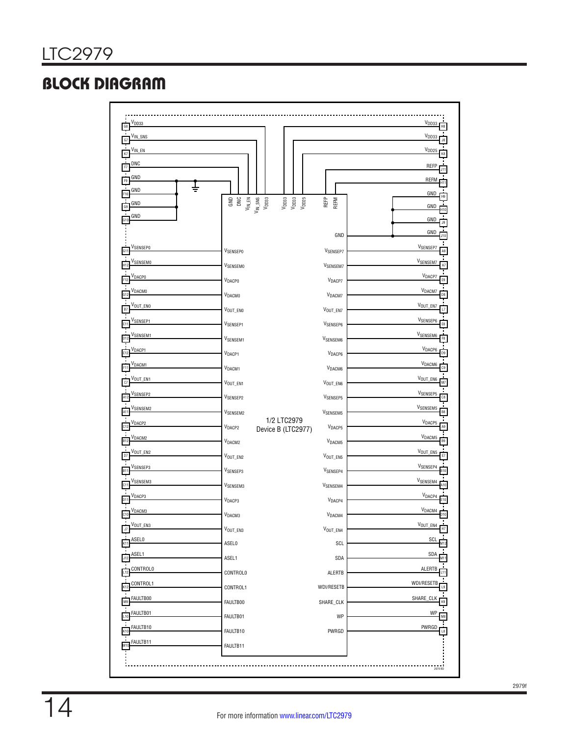# BLOCK DIAGRAM

| V <sub>IN_SNS</sub>       |                                                                                                                                                               |                                                                                |                       | $V_{DD33}$                |
|---------------------------|---------------------------------------------------------------------------------------------------------------------------------------------------------------|--------------------------------------------------------------------------------|-----------------------|---------------------------|
| V <sub>IN_EN</sub>        |                                                                                                                                                               |                                                                                |                       | V <sub>DD25</sub>         |
|                           |                                                                                                                                                               |                                                                                |                       |                           |
| <b>DNC</b>                |                                                                                                                                                               |                                                                                |                       | REFP                      |
| GND<br>F9                 |                                                                                                                                                               |                                                                                |                       | <b>REFM</b>               |
| GND                       |                                                                                                                                                               |                                                                                |                       | GND                       |
| GND                       | $\begin{array}{c} \text{GND} \\ \text{OM} \\ \text{OM} \\ \text{M} \_ \text{SMS} \\ \text{M} \\ \text{M} \\ \text{SMS} \\ \text{M} \\ \text{SMS} \end{array}$ | $\begin{array}{l} \mathtt{Vpos} \\ \mathtt{Vpos} \\ \mathtt{Vpos} \end{array}$ | REFP<br>REFM          | GND                       |
| GND                       |                                                                                                                                                               |                                                                                |                       | GND                       |
|                           |                                                                                                                                                               |                                                                                | GND                   | GND                       |
| VSENSEPO                  | <b>VSENSEPO</b>                                                                                                                                               |                                                                                | V <sub>SENSEP7</sub>  | V <sub>SENSEP7</sub>      |
| SENSEMO                   | VSENSEMO                                                                                                                                                      |                                                                                | V <sub>SENSEM7</sub>  | <b>VSENSEM7</b>           |
| V <sub>DАСР0</sub>        | VDACPO                                                                                                                                                        |                                                                                | V <sub>DACP7</sub>    | V <sub>DACP7</sub>        |
| ∨расмо                    |                                                                                                                                                               |                                                                                |                       | V <sub>DACM7</sub>        |
| V <sub>out_eno</sub>      | VDACMO                                                                                                                                                        |                                                                                | V <sub>DACM7</sub>    | VOUT_EN7                  |
|                           | $V_{\text{OUT\_EM0}}$                                                                                                                                         |                                                                                | VOUT_EN7              |                           |
| V <sub>SENSEP1</sub>      | V <sub>SENSEP1</sub>                                                                                                                                          |                                                                                | V <sub>SENSEP6</sub>  | V <sub>SENSEP6</sub>      |
| SENSEM1                   | V <sub>SENSEM1</sub>                                                                                                                                          |                                                                                | V <sub>SENSEM6</sub>  | V <sub>SENSEM6</sub>      |
| V <sub>DACP1</sub>        | <b>VDACP1</b>                                                                                                                                                 |                                                                                | V <sub>DACP6</sub>    | V <sub>DACP6</sub>        |
| <b>DACM1</b>              | V <sub>DACM1</sub>                                                                                                                                            |                                                                                | V <sub>DACM6</sub>    | V <sub>DACM6</sub>        |
| VOUT_EN1                  | $V_{\text{OUT\_EN1}}$                                                                                                                                         |                                                                                | VOUT_EN6              | VOUT_EN6                  |
| V <sub>SENSEP2</sub>      | VSENSEP2                                                                                                                                                      |                                                                                | V <sub>SENSEP5</sub>  | V <sub>SENSEP5</sub>      |
| SENSEM2                   |                                                                                                                                                               |                                                                                |                       | V <sub>SENSEM5</sub>      |
| DACP2                     | V <sub>SENSEM2</sub>                                                                                                                                          | 1/2 LTC2979                                                                    | V <sub>SENSEM5</sub>  | $V_{\text{DACP5}}$        |
|                           | V <sub>DACP2</sub>                                                                                                                                            | Device B (LTC2977)                                                             | V <sub>DACP5</sub>    |                           |
| V <sub>DACM2</sub>        | V <sub>DACM2</sub>                                                                                                                                            |                                                                                | V <sub>DACM5</sub>    | V <sub>DACM5</sub>        |
| Vout_en2                  | $V_{\text{OUT\_EN2}}$                                                                                                                                         |                                                                                | $V_{\text{OUT\_ENS}}$ | VOUT_EN5                  |
| Vsensep3                  | $V_{SENSEP3}$                                                                                                                                                 |                                                                                | V <sub>SENSEP4</sub>  | V <sub>SENSEP4</sub>      |
| V <sub>SENSEM3</sub>      | V <sub>SENSEM3</sub>                                                                                                                                          |                                                                                | V <sub>SENSEM4</sub>  | V <sub>SENSEM4</sub>      |
| V <sub>DACP3</sub>        | V <sub>DACP3</sub>                                                                                                                                            |                                                                                | V <sub>DACP4</sub>    | V <sub>DACP4</sub>        |
| V <sub>DACM3</sub><br>C10 | V <sub>DACM3</sub>                                                                                                                                            |                                                                                | V <sub>DACM4</sub>    | V <sub>DACM4</sub><br>D10 |
| VOUT_EN3                  |                                                                                                                                                               |                                                                                |                       | $V_{\text{OUT\_EN4}}$     |
| <b>SELO</b>               | VOUT_EN3                                                                                                                                                      |                                                                                | VOUT_EN4              | SCI                       |
|                           | <b>ASEL0</b>                                                                                                                                                  |                                                                                | SCL                   |                           |
| ASEL 1                    | ASEL1                                                                                                                                                         |                                                                                | SDA                   | SDA                       |
| CONTROLO                  | CONTROLO                                                                                                                                                      |                                                                                | ALERTB                | ALERTB                    |
| CONTROL1                  | CONTROL1                                                                                                                                                      |                                                                                | WDI/RESETB            | WDI/RESETB                |
| FAULTB00                  | FAULTB00                                                                                                                                                      |                                                                                | SHARE_CLK             | SHARE_CLK                 |
| FAULTB01                  | FAULTB01                                                                                                                                                      |                                                                                | WP                    | WP                        |
| FAULTB10                  | FAULTB10                                                                                                                                                      |                                                                                | PWRGD                 | PWRGD                     |
| FAULTB11                  |                                                                                                                                                               |                                                                                |                       |                           |
|                           | FAULTB11                                                                                                                                                      |                                                                                |                       |                           |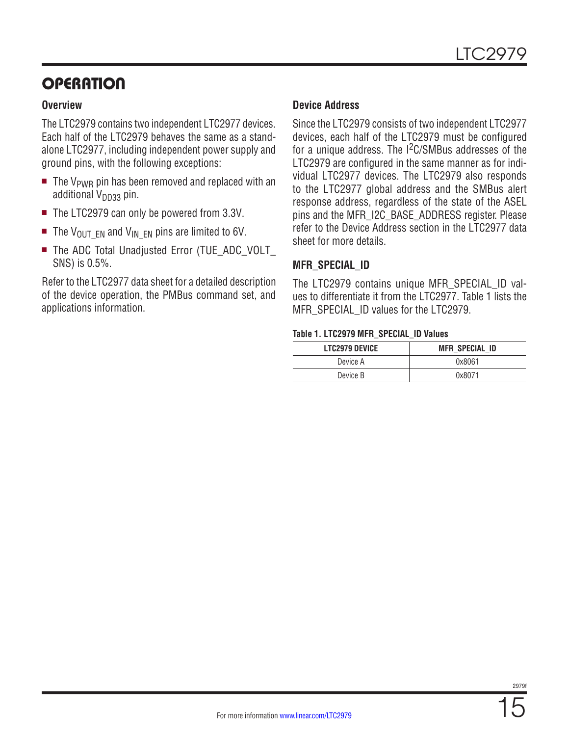# **OPERATION**

#### **Overview**

The LTC2979 contains two independent LTC2977 devices. Each half of the LTC2979 behaves the same as a standalone LTC2977, including independent power supply and ground pins, with the following exceptions:

- $\blacksquare$  The V<sub>PWR</sub> pin has been removed and replaced with an additional  $V_{DD33}$  pin.
- $\blacksquare$  The LTC2979 can only be powered from 3.3V.
- The V<sub>OUT</sub>  $EN$  and V<sub>IN EN</sub> pins are limited to 6V.
- The ADC Total Unadjusted Error (TUE ADC VOLT SNS) is 0.5%.

Refer to the LTC2977 data sheet for a detailed description of the device operation, the PMBus command set, and applications information.

#### **Device Address**

Since the LTC2979 consists of two independent LTC2977 devices, each half of the LTC2979 must be configured for a unique address. The I<sup>2</sup>C/SMBus addresses of the LTC2979 are configured in the same manner as for individual LTC2977 devices. The LTC2979 also responds to the LTC2977 global address and the SMBus alert response address, regardless of the state of the ASEL pins and the MFR\_I2C\_BASE\_ADDRESS register. Please refer to the Device Address section in the LTC2977 data sheet for more details.

#### **MFR\_SPECIAL\_ID**

The LTC2979 contains unique MFR\_SPECIAL\_ID values to differentiate it from the LTC2977. Table 1 lists the MFR\_SPECIAL\_ID values for the LTC2979.

#### **Table 1. LTC2979 MFR\_SPECIAL\_ID Values**

| <b>LTC2979 DEVICE</b> | MFR SPECIAL ID |
|-----------------------|----------------|
| Device A              | 0x8061         |
| Device B              | 0x8071         |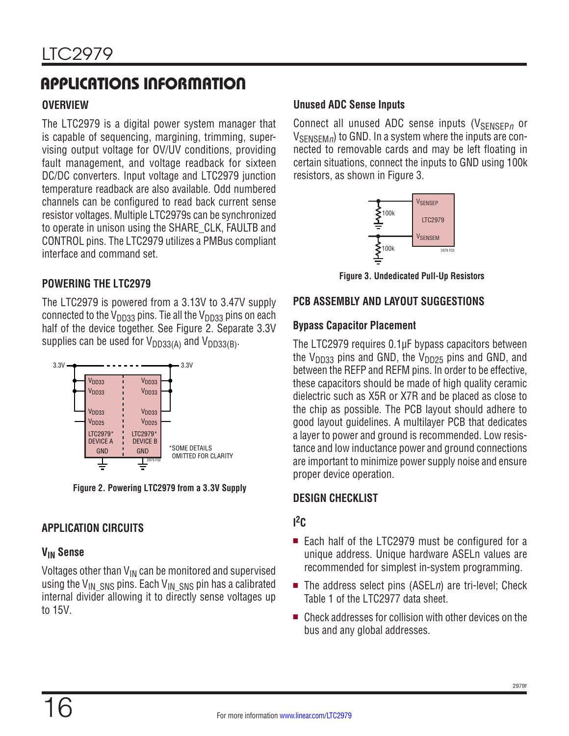# APPLICATIONS INFORMATION

### **OVERVIEW**

The LTC2979 is a digital power system manager that is capable of sequencing, margining, trimming, supervising output voltage for OV/UV conditions, providing fault management, and voltage readback for sixteen DC/DC converters. Input voltage and LTC2979 junction temperature readback are also available. Odd numbered channels can be configured to read back current sense resistor voltages. Multiple LTC2979s can be synchronized to operate in unison using the SHARE\_CLK, FAULTB and CONTROL pins. The LTC2979 utilizes a PMBus compliant interface and command set.

### **POWERING THE LTC2979**

The LTC2979 is powered from a 3.13V to 3.47V supply connected to the  $V_{DD33}$  pins. Tie all the  $V_{DD33}$  pins on each half of the device together. See Figure 2. Separate 3.3V supplies can be used for  $V_{DD33(A)}$  and  $V_{DD33(B)}$ .

![](_page_15_Figure_6.jpeg)

**Figure 2. Powering LTC2979 from a 3.3V Supply**

### **APPLICATION CIRCUITS**

### **VIN Sense**

Voltages other than  $V_{IN}$  can be monitored and supervised using the V<sub>IN</sub> SNS pins. Each V<sub>IN</sub> SNS pin has a calibrated internal divider allowing it to directly sense voltages up to 15V.

### **Unused ADC Sense Inputs**

Connect all unused ADC sense inputs (V<sub>SENSEPn</sub> or V<sub>SENSEM</sub><sub>n</sub>) to GND. In a system where the inputs are connected to removable cards and may be left floating in certain situations, connect the inputs to GND using 100k resistors, as shown in Figure 3.

![](_page_15_Figure_13.jpeg)

**Figure 3. Undedicated Pull-Up Resistors**

### **PCB ASSEMBLY AND LAYOUT SUGGESTIONS**

### **Bypass Capacitor Placement**

The LTC2979 requires 0.1µF bypass capacitors between the V<sub>DD33</sub> pins and GND, the V<sub>DD25</sub> pins and GND, and between the REFP and REFM pins. In order to be effective, these capacitors should be made of high quality ceramic dielectric such as X5R or X7R and be placed as close to the chip as possible. The PCB layout should adhere to good layout guidelines. A multilayer PCB that dedicates a layer to power and ground is recommended. Low resistance and low inductance power and ground connections are important to minimize power supply noise and ensure proper device operation.

### **DESIGN CHECKLIST**

### **I 2C**

- Each half of the LTC2979 must be configured for a unique address. Unique hardware ASELn values are recommended for simplest in-system programming.
- $\blacksquare$  The address select pins (ASELn) are tri-level; Check Table 1 of the LTC2977 data sheet.
- $\blacksquare$  Check addresses for collision with other devices on the bus and any global addresses.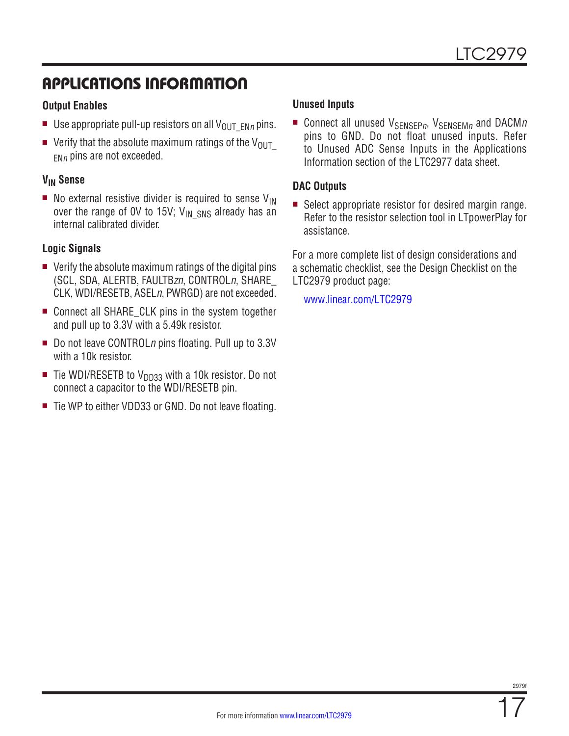# APPLICATIONS INFORMATION

#### **Output Enables**

- **Use appropriate pull-up resistors on all V<sub>OUT\_ENn</sub> pins.**
- verify that the absolute maximum ratings of the  $V_{\text{OUT}}$  $F_{Nn}$  pins are not exceeded.

### **VIN Sense**

 $\blacksquare$  No external resistive divider is required to sense  $V_{IN}$ over the range of OV to 15V;  $V_{IN\_SNS}$  already has an internal calibrated divider.

#### **Logic Signals**

- $\blacksquare$  Verify the absolute maximum ratings of the digital pins (SCL, SDA, ALERTB, FAULTB*z*n, CONTROLn, SHARE\_ CLK, WDI/RESETB, ASELn, PWRGD) are not exceeded.
- Connect all SHARE CLK pins in the system together and pull up to 3.3V with a 5.49k resistor.
- Do not leave CONTROL*n* pins floating. Pull up to 3.3V with a 10k resistor.
- $\blacksquare$  Tie WDI/RESETB to V<sub>DD33</sub> with a 10k resistor. Do not connect a capacitor to the WDI/RESETB pin.
- Tie WP to either VDD33 or GND. Do not leave floating.

#### **Unused Inputs**

**E** Connect all unused  $V_{\text{SENSFR}n}$ ,  $V_{\text{SENSFM}n}$  and DACMn pins to GND. Do not float unused inputs. Refer to Unused ADC Sense Inputs in the Applications Information section of the LTC2977 data sheet.

#### **DAC Outputs**

 $\blacksquare$  Select appropriate resistor for desired margin range. Refer to the resistor selection tool in LTpowerPlay for assistance.

For a more complete list of design considerations and a schematic checklist, see the Design Checklist on the LTC2979 product page:

[www.linear.com/LTC2979](http://www.linear.com/LTC2980)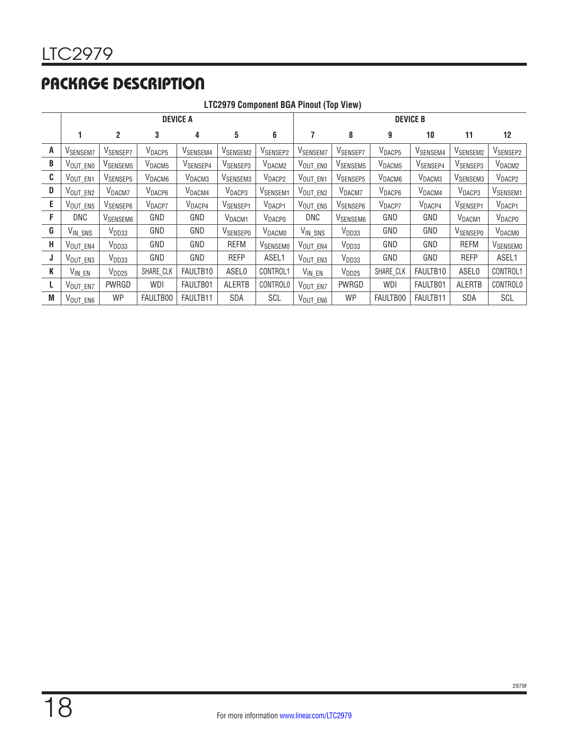# PACKAGE DESCRIPTION

|   | <b>ETOLYTY OUTROLIGHT DUAT HIDDL (TOP VIGW)</b> |                      |                    |                      |                      |                      |                      |                      |                    |                      |                      |                      |
|---|-------------------------------------------------|----------------------|--------------------|----------------------|----------------------|----------------------|----------------------|----------------------|--------------------|----------------------|----------------------|----------------------|
|   | <b>DEVICE A</b>                                 |                      |                    |                      |                      |                      | <b>DEVICE B</b>      |                      |                    |                      |                      |                      |
|   |                                                 | $\mathbf{2}$         | 3                  | 4                    | 5                    | 6                    | 7                    | 8                    | 9                  | 10                   | 11                   | 12                   |
| A | V <sub>SENSEM7</sub>                            | V <sub>SENSEP7</sub> | V <sub>DACP5</sub> | V <sub>SENSEM4</sub> | V <sub>SENSEM2</sub> | V <sub>SENSEP2</sub> | V <sub>SENSEM7</sub> | V <sub>SENSEP7</sub> | V <sub>DACP5</sub> | V <sub>SENSEM4</sub> | V <sub>SENSEM2</sub> | V <sub>SENSEP2</sub> |
| B | $V_{\text{OUT\_EN0}}$                           | V <sub>SENSEM5</sub> | V <sub>DACM5</sub> | V <sub>SENSEP4</sub> | V <sub>SENSEP3</sub> | V <sub>DACM2</sub>   | VOUT_ENO             | V <sub>SENSEM5</sub> | V <sub>DACM5</sub> | V <sub>SENSEP4</sub> | V <sub>SENSEP3</sub> | V <sub>DACM2</sub>   |
| C | VOUT_EN1                                        | V <sub>SENSEP5</sub> | V <sub>DACM6</sub> | V <sub>DACM3</sub>   | V <sub>SENSEM3</sub> | V <sub>DACP2</sub>   | VOUT_EN1             | V <sub>SENSEP5</sub> | V <sub>DACM6</sub> | V <sub>DACM3</sub>   | V <sub>SENSEM3</sub> | V <sub>DACP2</sub>   |
| D | VOUT_EN2                                        | V <sub>DACM7</sub>   | $V_{\text{DACP6}}$ | V <sub>DACM4</sub>   | V <sub>DACP3</sub>   | V <sub>SENSEM1</sub> | VOUT_EN2             | V <sub>DACM7</sub>   | V <sub>DACP6</sub> | V <sub>DACM4</sub>   | V <sub>DACP3</sub>   | V <sub>SENSEM1</sub> |
| E | VOUT_EN5                                        | V <sub>SENSEP6</sub> | V <sub>DACP7</sub> | $V_{\text{DACP4}}$   | V <sub>SENSEP1</sub> | V <sub>DACP1</sub>   | VOUT_EN5             | V <sub>SENSEP6</sub> | V <sub>DACP7</sub> | V <sub>DACP4</sub>   | V <sub>SENSEP1</sub> | V <sub>DACP1</sub>   |
| F | DNC                                             | V <sub>SENSEM6</sub> | GND                | GND                  | V <sub>DACM1</sub>   | <b>V</b> DACPO       | DNC                  | V <sub>SENSEM6</sub> | GND                | GND                  | V <sub>DACM1</sub>   | <b>VDACPO</b>        |
| G | V <sub>IN_SNS</sub>                             | V <sub>DD33</sub>    | GND                | GND                  | <b>VSENSEPO</b>      | <b>V</b> DACMO       | VIN_SNS              | V <sub>DD33</sub>    | GND                | GND                  | <b>VSENSEPO</b>      | <b>V</b> DACMO       |
| H | $V_{\text{OUT\_EN4}}$                           | V <sub>DD33</sub>    | GND                | GND                  | <b>REFM</b>          | V <sub>SENSEMO</sub> | VOUT_EN4             | V <sub>DD33</sub>    | GND                | GND                  | <b>REFM</b>          | V <sub>SENSEMO</sub> |
| J | VOUT_EN3                                        | V <sub>DD33</sub>    | GND                | GND                  | <b>REFP</b>          | ASEL1                | VOUT_EN3             | V <sub>DD33</sub>    | GND                | GND                  | <b>REFP</b>          | ASEL1                |
| K | $V_{IN\_EN}$                                    | $V_{DD25}$           | SHARE_CLK          | FAULTB <sub>10</sub> | ASEL0                | CONTROL1             | $V_{IN\_EN}$         | V <sub>DD25</sub>    | SHARE_CLK          | FAULTB10             | <b>ASEL0</b>         | CONTROL1             |
| L | VOUT_EN7                                        | PWRGD                | WDI                | FAULTB01             | <b>ALERTB</b>        | CONTROLO             | VOUT_EN7             | PWRGD                | WDI                | FAULTB01             | <b>ALERTB</b>        | <b>CONTROLO</b>      |
| M | $V_{\text{OUT\_EN6}}$                           | WP                   | FAULTB00           | FAULTB11             | SDA                  | SCL                  | V <sub>OUT_EN6</sub> | WP                   | FAULTB00           | FAULTB11             | SDA                  | SCL                  |

**LTC2979 Component BGA Pinout (Top View)**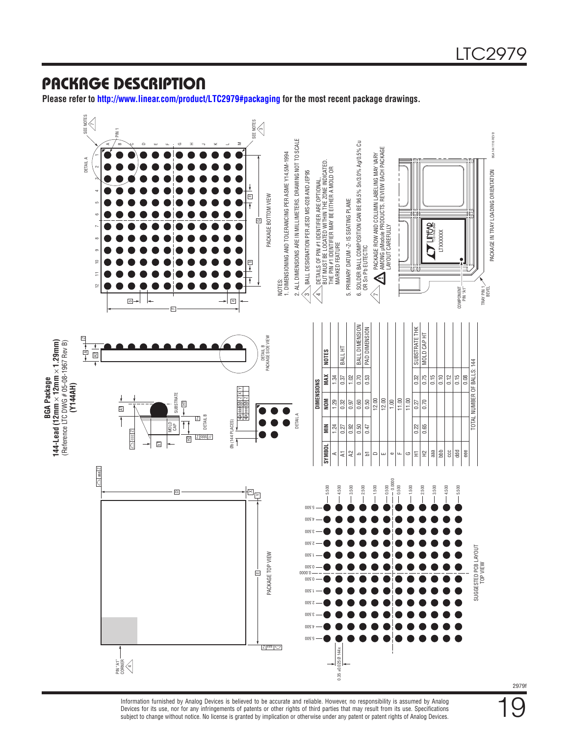### PACKAGE DESCRIPTION

**Please refer to <http://www.linear.com/product/LTC2979#packaging>for the most recent package drawings.**

![](_page_18_Figure_3.jpeg)

subject to change without notice. No license is granted by implication or otherwise under any patent or patent rights of Analog Devices. Information furnished by Analog Devices is believed to be accurate and reliable. However, no responsibility is assumed by Analog Devices for its use, nor for any infringements of patents or other rights of third parties that may result from its use. Specifications